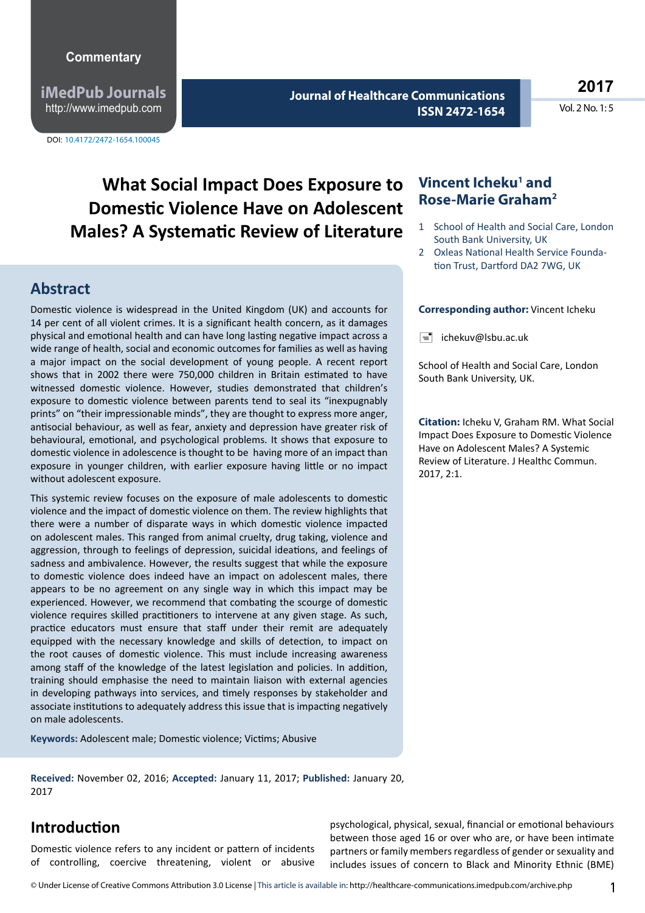**iMedPub Journals** http://www.imedpub.com

DOI: 10.4172/2472-1654.100045

**Journal of Healthcare Communications ISSN 2472-1654**

**2017**

Vol.  $2$  No.  $1:5$ 

# **What Social Impact Does Exposure to Domestic Violence Have on Adolescent Males? A Systematic Review of Literature**

# **Abstract**

Domestic violence is widespread in the United Kingdom (UK) and accounts for 14 per cent of all violent crimes. It is a significant health concern, as it damages physical and emotional health and can have long lasting negative impact across a wide range of health, social and economic outcomes for families as well as having a major impact on the social development of young people. A recent report shows that in 2002 there were 750,000 children in Britain estimated to have witnessed domestic violence. However, studies demonstrated that children's exposure to domestic violence between parents tend to seal its "inexpugnably prints" on "their impressionable minds", they are thought to express more anger, antisocial behaviour, as well as fear, anxiety and depression have greater risk of behavioural, emotional, and psychological problems. It shows that exposure to domestic violence in adolescence is thought to be having more of an impact than exposure in younger children, with earlier exposure having little or no impact without adolescent exposure.

This systemic review focuses on the exposure of male adolescents to domestic violence and the impact of domestic violence on them. The review highlights that there were a number of disparate ways in which domestic violence impacted on adolescent males. This ranged from animal cruelty, drug taking, violence and aggression, through to feelings of depression, suicidal ideations, and feelings of sadness and ambivalence. However, the results suggest that while the exposure to domestic violence does indeed have an impact on adolescent males, there appears to be no agreement on any single way in which this impact may be experienced. However, we recommend that combating the scourge of domestic violence requires skilled practitioners to intervene at any given stage. As such, practice educators must ensure that staff under their remit are adequately equipped with the necessary knowledge and skills of detection, to impact on the root causes of domestic violence. This must include increasing awareness among staff of the knowledge of the latest legislation and policies. In addition, training should emphasise the need to maintain liaison with external agencies in developing pathways into services, and timely responses by stakeholder and associate institutions to adequately address this issue that is impacting negatively on male adolescents.

**Keywords:** Adolescent male; Domestic violence; Victims; Abusive

**Received:** November 02, 2016; **Accepted:** January 11, 2017; **Published:** January 20, 2017

# **Introduction**

Domestic violence refers to any incident or pattern of incidents of controlling, coercive threatening, violent or abusive

### Vincent Icheku<sup>1</sup> and **Rose-Marie Graham2**

- 1 School of Health and Social Care, London South Bank University, UK
- 2 Oxleas National Health Service Foundation Trust, Dartford DA2 7WG, UK

#### **Corresponding author:** Vincent Icheku

 $\equiv$  ichekuv@lsbu.ac.uk

School of Health and Social Care, London South Bank University, UK.

**Citation:** Icheku V, Graham RM. What Social Impact Does Exposure to Domestic Violence Have on Adolescent Males? A Systemic Review of Literature. J Healthc Commun. 2017, 2:1.

psychological, physical, sexual, financial or emotional behaviours between those aged 16 or over who are, or have been intimate partners or family members regardless of gender or sexuality and includes issues of concern to Black and Minority Ethnic (BME)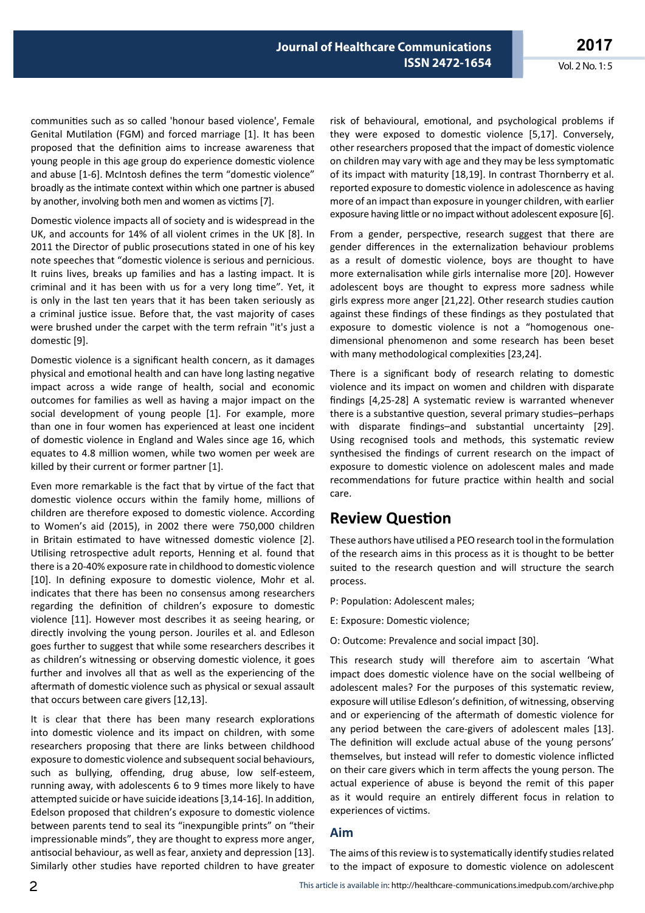communities such as so called 'honour based violence', Female Genital Mutilation (FGM) and forced marriage [1]. It has been proposed that the definition aims to increase awareness that young people in this age group do experience domestic violence and abuse [1-6]. McIntosh defines the term "domestic violence" broadly as the intimate context within which one partner is abused by another, involving both men and women as victims[7].

Domestic violence impacts all of society and is widespread in the UK, and accounts for 14% of all violent crimes in the UK [8]. In 2011 the Director of public prosecutions stated in one of his key note speeches that "domestic violence is serious and pernicious. It ruins lives, breaks up families and has a lasting impact. It is criminal and it has been with us for a very long time". Yet, it is only in the last ten years that it has been taken seriously as a criminal justice issue. Before that, the vast majority of cases were brushed under the carpet with the term refrain "it's just a domestic [9].

Domestic violence is a significant health concern, as it damages physical and emotional health and can have long lasting negative impact across a wide range of health, social and economic outcomes for families as well as having a major impact on the social development of young people [1]. For example, more than one in four women has experienced at least one incident of domestic violence in England and Wales since age 16, which equates to 4.8 million women, while two women per week are killed by their current or former partner [1].

Even more remarkable is the fact that by virtue of the fact that domestic violence occurs within the family home, millions of children are therefore exposed to domestic violence. According to Women's aid (2015), in 2002 there were 750,000 children in Britain estimated to have witnessed domestic violence [2]. Utilising retrospective adult reports, Henning et al. found that there is a 20-40% exposure rate in childhood to domestic violence [10]. In defining exposure to domestic violence, Mohr et al. indicates that there has been no consensus among researchers regarding the definition of children's exposure to domestic violence [11]. However most describes it as seeing hearing, or directly involving the young person. Jouriles et al. and Edleson goes further to suggest that while some researchers describes it as children's witnessing or observing domestic violence, it goes further and involves all that as well as the experiencing of the aftermath of domestic violence such as physical or sexual assault that occurs between care givers [12,13].

It is clear that there has been many research explorations into domestic violence and its impact on children, with some researchers proposing that there are links between childhood exposure to domestic violence and subsequent social behaviours, such as bullying, offending, drug abuse, low self-esteem, running away, with adolescents 6 to 9 times more likely to have attempted suicide or have suicide ideations[3,14-16]. In addition, Edelson proposed that children's exposure to domestic violence between parents tend to seal its "inexpungible prints" on "their impressionable minds", they are thought to express more anger, antisocial behaviour, as well as fear, anxiety and depression [13]. Similarly other studies have reported children to have greater

risk of behavioural, emotional, and psychological problems if they were exposed to domestic violence [5,17]. Conversely, other researchers proposed that the impact of domestic violence on children may vary with age and they may be less symptomatic of its impact with maturity [18,19]. In contrast Thornberry et al. reported exposure to domestic violence in adolescence as having more of an impact than exposure in younger children, with earlier exposure having little or no impact without adolescent exposure [6].

From a gender, perspective, research suggest that there are gender differences in the externalization behaviour problems as a result of domestic violence, boys are thought to have more externalisation while girls internalise more [20]. However adolescent boys are thought to express more sadness while girls express more anger [21,22]. Other research studies caution against these findings of these findings as they postulated that exposure to domestic violence is not a "homogenous onedimensional phenomenon and some research has been beset with many methodological complexities [23,24].

There is a significant body of research relating to domestic violence and its impact on women and children with disparate findings [4,25-28] A systematic review is warranted whenever there is a substantive question, several primary studies–perhaps with disparate findings–and substantial uncertainty [29]. Using recognised tools and methods, this systematic review synthesised the findings of current research on the impact of exposure to domestic violence on adolescent males and made recommendations for future practice within health and social care.

# **Review Question**

These authors have utilised a PEO research tool in the formulation of the research aims in this process as it is thought to be better suited to the research question and will structure the search process.

- P: Population: Adolescent males;
- E: Exposure: Domestic violence;
- O: Outcome: Prevalence and social impact [30].

This research study will therefore aim to ascertain 'What impact does domestic violence have on the social wellbeing of adolescent males? For the purposes of this systematic review, exposure will utilise Edleson's definition, of witnessing, observing and or experiencing of the aftermath of domestic violence for any period between the care-givers of adolescent males [13]. The definition will exclude actual abuse of the young persons' themselves, but instead will refer to domestic violence inflicted on their care givers which in term affects the young person. The actual experience of abuse is beyond the remit of this paper as it would require an entirely different focus in relation to experiences of victims.

### **Aim**

The aims of this review is to systematically identify studies related to the impact of exposure to domestic violence on adolescent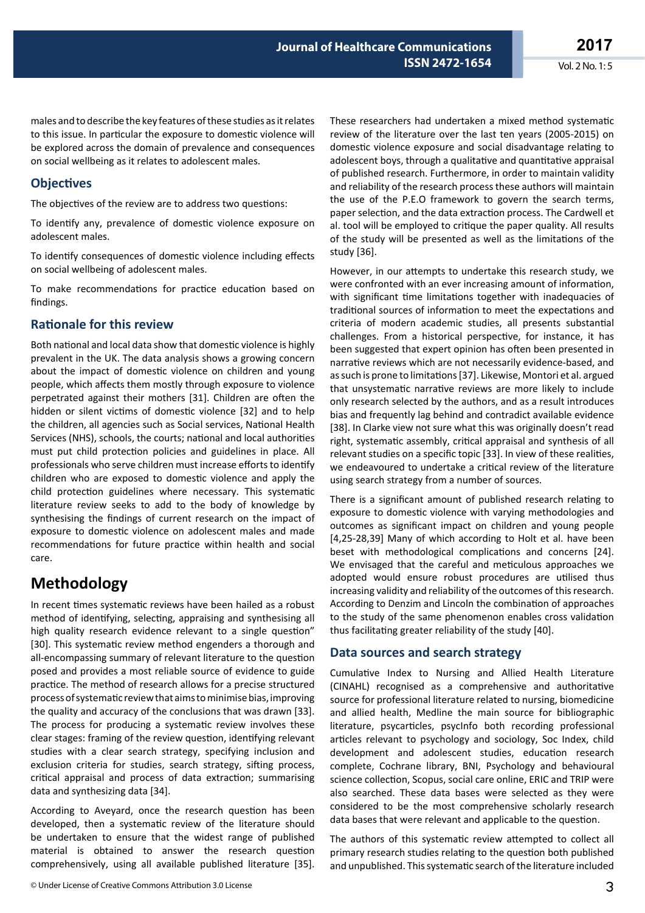males and to describe the key features of these studies as it relates to this issue. In particular the exposure to domestic violence will be explored across the domain of prevalence and consequences on social wellbeing as it relates to adolescent males.

### **Objectives**

The objectives of the review are to address two questions:

To identify any, prevalence of domestic violence exposure on adolescent males.

To identify consequences of domestic violence including effects on social wellbeing of adolescent males.

To make recommendations for practice education based on findings.

#### **Rationale for this review**

Both national and local data show that domestic violence is highly prevalent in the UK. The data analysis shows a growing concern about the impact of domestic violence on children and young people, which affects them mostly through exposure to violence perpetrated against their mothers [31]. Children are often the hidden or silent victims of domestic violence [32] and to help the children, all agencies such as Social services, National Health Services (NHS), schools, the courts; national and local authorities must put child protection policies and guidelines in place. All professionals who serve children must increase efforts to identify children who are exposed to domestic violence and apply the child protection guidelines where necessary. This systematic literature review seeks to add to the body of knowledge by synthesising the findings of current research on the impact of exposure to domestic violence on adolescent males and made recommendations for future practice within health and social care.

# **Methodology**

In recent times systematic reviews have been hailed as a robust method of identifying, selecting, appraising and synthesising all high quality research evidence relevant to a single question" [30]. This systematic review method engenders a thorough and all-encompassing summary of relevant literature to the question posed and provides a most reliable source of evidence to guide practice. The method of research allows for a precise structured processofsystematic reviewthat aimstominimisebias,improving the quality and accuracy of the conclusions that was drawn [33]. The process for producing a systematic review involves these clear stages: framing of the review question, identifying relevant studies with a clear search strategy, specifying inclusion and exclusion criteria for studies, search strategy, sifting process, critical appraisal and process of data extraction; summarising data and synthesizing data [34].

According to Aveyard, once the research question has been developed, then a systematic review of the literature should be undertaken to ensure that the widest range of published material is obtained to answer the research question comprehensively, using all available published literature [35].

These researchers had undertaken a mixed method systematic review of the literature over the last ten years (2005-2015) on domestic violence exposure and social disadvantage relating to adolescent boys, through a qualitative and quantitative appraisal of published research. Furthermore, in order to maintain validity and reliability of the research process these authors will maintain the use of the P.E.O framework to govern the search terms, paper selection, and the data extraction process. The Cardwell et al. tool will be employed to critique the paper quality. All results of the study will be presented as well as the limitations of the study [36].

However, in our attempts to undertake this research study, we were confronted with an ever increasing amount of information, with significant time limitations together with inadequacies of traditional sources of information to meet the expectations and criteria of modern academic studies, all presents substantial challenges. From a historical perspective, for instance, it has been suggested that expert opinion has often been presented in narrative reviews which are not necessarily evidence-based, and assuch is prone to limitations[37]. Likewise, Montori et al. argued that unsystematic narrative reviews are more likely to include only research selected by the authors, and as a result introduces bias and frequently lag behind and contradict available evidence [38]. In Clarke view not sure what this was originally doesn't read right, systematic assembly, critical appraisal and synthesis of all relevant studies on a specific topic [33]. In view of these realities, we endeavoured to undertake a critical review of the literature using search strategy from a number of sources.

There is a significant amount of published research relating to exposure to domestic violence with varying methodologies and outcomes as significant impact on children and young people [4,25-28,39] Many of which according to Holt et al. have been beset with methodological complications and concerns [24]. We envisaged that the careful and meticulous approaches we adopted would ensure robust procedures are utilised thus increasing validity and reliability of the outcomes of this research. According to Denzim and Lincoln the combination of approaches to the study of the same phenomenon enables cross validation thus facilitating greater reliability of the study [40].

#### **Data sources and search strategy**

Cumulative Index to Nursing and Allied Health Literature (CINAHL) recognised as a comprehensive and authoritative source for professional literature related to nursing, biomedicine and allied health, Medline the main source for bibliographic literature, psycarticles, psycInfo both recording professional articles relevant to psychology and sociology, Soc Index, child development and adolescent studies, education research complete, Cochrane library, BNI, Psychology and behavioural science collection, Scopus, social care online, ERIC and TRIP were also searched. These data bases were selected as they were considered to be the most comprehensive scholarly research data bases that were relevant and applicable to the question.

The authors of this systematic review attempted to collect all primary research studies relating to the question both published and unpublished. This systematic search of the literature included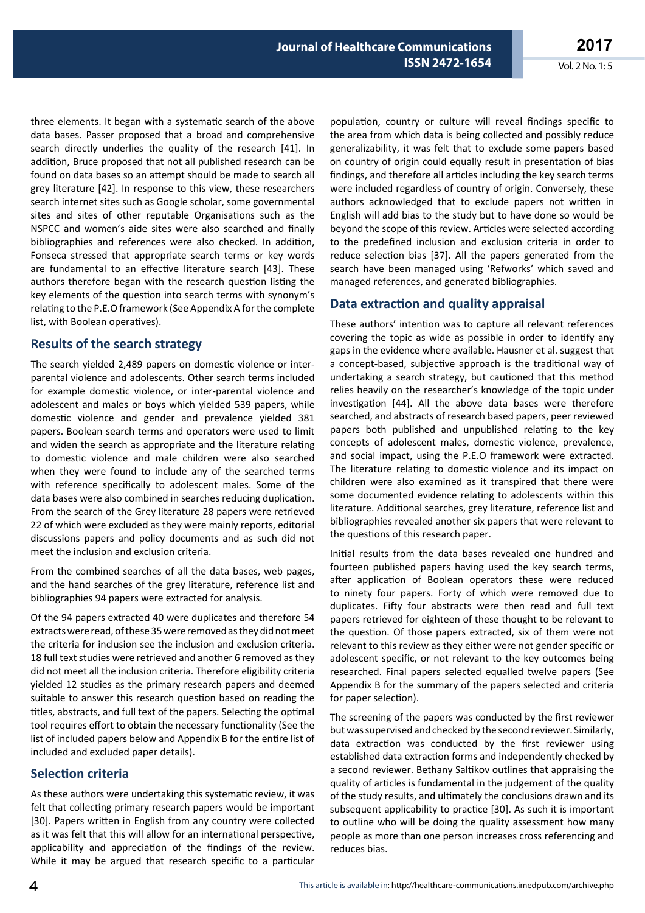three elements. It began with a systematic search of the above data bases. Passer proposed that a broad and comprehensive search directly underlies the quality of the research [41]. In addition, Bruce proposed that not all published research can be found on data bases so an attempt should be made to search all grey literature [42]. In response to this view, these researchers search internet sites such as Google scholar, some governmental sites and sites of other reputable Organisations such as the NSPCC and women's aide sites were also searched and finally bibliographies and references were also checked. In addition, Fonseca stressed that appropriate search terms or key words are fundamental to an effective literature search [43]. These authors therefore began with the research question listing the key elements of the question into search terms with synonym's relating to the P.E.O framework (See Appendix A for the complete list, with Boolean operatives).

#### **Results of the search strategy**

The search yielded 2,489 papers on domestic violence or interparental violence and adolescents. Other search terms included for example domestic violence, or inter-parental violence and adolescent and males or boys which yielded 539 papers, while domestic violence and gender and prevalence yielded 381 papers. Boolean search terms and operators were used to limit and widen the search as appropriate and the literature relating to domestic violence and male children were also searched when they were found to include any of the searched terms with reference specifically to adolescent males. Some of the data bases were also combined in searches reducing duplication. From the search of the Grey literature 28 papers were retrieved 22 of which were excluded as they were mainly reports, editorial discussions papers and policy documents and as such did not meet the inclusion and exclusion criteria.

From the combined searches of all the data bases, web pages, and the hand searches of the grey literature, reference list and bibliographies 94 papers were extracted for analysis.

Of the 94 papers extracted 40 were duplicates and therefore 54 extracts were read, of these 35 were removed as they did not meet the criteria for inclusion see the inclusion and exclusion criteria. 18 full text studies were retrieved and another 6 removed as they did not meet all the inclusion criteria. Therefore eligibility criteria yielded 12 studies as the primary research papers and deemed suitable to answer this research question based on reading the titles, abstracts, and full text of the papers. Selecting the optimal tool requires effort to obtain the necessary functionality (See the list of included papers below and Appendix B for the entire list of included and excluded paper details).

### **Selection criteria**

As these authors were undertaking this systematic review, it was felt that collecting primary research papers would be important [30]. Papers written in English from any country were collected as it was felt that this will allow for an international perspective, applicability and appreciation of the findings of the review. While it may be argued that research specific to a particular

population, country or culture will reveal findings specific to the area from which data is being collected and possibly reduce generalizability, it was felt that to exclude some papers based on country of origin could equally result in presentation of bias findings, and therefore all articles including the key search terms were included regardless of country of origin. Conversely, these authors acknowledged that to exclude papers not written in English will add bias to the study but to have done so would be beyond the scope of this review. Articles were selected according to the predefined inclusion and exclusion criteria in order to reduce selection bias [37]. All the papers generated from the search have been managed using 'Refworks' which saved and managed references, and generated bibliographies.

### **Data extraction and quality appraisal**

These authors' intention was to capture all relevant references covering the topic as wide as possible in order to identify any gaps in the evidence where available. Hausner et al. suggest that a concept-based, subjective approach is the traditional way of undertaking a search strategy, but cautioned that this method relies heavily on the researcher's knowledge of the topic under investigation [44]. All the above data bases were therefore searched, and abstracts of research based papers, peer reviewed papers both published and unpublished relating to the key concepts of adolescent males, domestic violence, prevalence, and social impact, using the P.E.O framework were extracted. The literature relating to domestic violence and its impact on children were also examined as it transpired that there were some documented evidence relating to adolescents within this literature. Additional searches, grey literature, reference list and bibliographies revealed another six papers that were relevant to the questions of this research paper.

Initial results from the data bases revealed one hundred and fourteen published papers having used the key search terms, after application of Boolean operators these were reduced to ninety four papers. Forty of which were removed due to duplicates. Fifty four abstracts were then read and full text papers retrieved for eighteen of these thought to be relevant to the question. Of those papers extracted, six of them were not relevant to this review as they either were not gender specific or adolescent specific, or not relevant to the key outcomes being researched. Final papers selected equalled twelve papers (See Appendix B for the summary of the papers selected and criteria for paper selection).

The screening of the papers was conducted by the first reviewer but was supervised and checked by the second reviewer. Similarly, data extraction was conducted by the first reviewer using established data extraction forms and independently checked by a second reviewer. Bethany Saltikov outlines that appraising the quality of articles is fundamental in the judgement of the quality of the study results, and ultimately the conclusions drawn and its subsequent applicability to practice [30]. As such it is important to outline who will be doing the quality assessment how many people as more than one person increases cross referencing and reduces bias.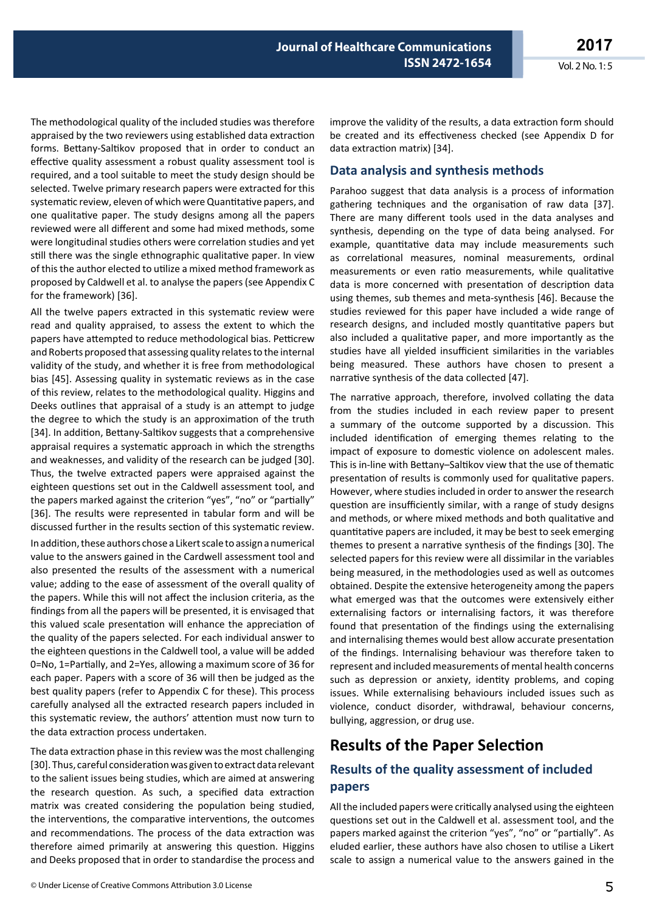The methodological quality of the included studies was therefore appraised by the two reviewers using established data extraction forms. Bettany-Saltikov proposed that in order to conduct an effective quality assessment a robust quality assessment tool is required, and a tool suitable to meet the study design should be selected. Twelve primary research papers were extracted for this systematic review, eleven of which were Quantitative papers, and one qualitative paper. The study designs among all the papers reviewed were all different and some had mixed methods, some were longitudinal studies others were correlation studies and yet still there was the single ethnographic qualitative paper. In view of this the author elected to utilize a mixed method framework as proposed by Caldwell et al. to analyse the papers(see Appendix C for the framework) [36].

All the twelve papers extracted in this systematic review were read and quality appraised, to assess the extent to which the papers have attempted to reduce methodological bias. Petticrew and Roberts proposed that assessing quality relatesto the internal validity of the study, and whether it is free from methodological bias [45]. Assessing quality in systematic reviews as in the case of this review, relates to the methodological quality. Higgins and Deeks outlines that appraisal of a study is an attempt to judge the degree to which the study is an approximation of the truth [34]. In addition, Bettany-Saltikov suggests that a comprehensive appraisal requires a systematic approach in which the strengths and weaknesses, and validity of the research can be judged [30]. Thus, the twelve extracted papers were appraised against the eighteen questions set out in the Caldwell assessment tool, and the papers marked against the criterion "yes", "no" or "partially" [36]. The results were represented in tabular form and will be discussed further in the results section of this systematic review. In addition, these authors chose a Likert scale to assign a numerical value to the answers gained in the Cardwell assessment tool and also presented the results of the assessment with a numerical value; adding to the ease of assessment of the overall quality of the papers. While this will not affect the inclusion criteria, as the findings from all the papers will be presented, it is envisaged that this valued scale presentation will enhance the appreciation of the quality of the papers selected. For each individual answer to the eighteen questions in the Caldwell tool, a value will be added 0=No, 1=Partially, and 2=Yes, allowing a maximum score of 36 for each paper. Papers with a score of 36 will then be judged as the best quality papers (refer to Appendix C for these). This process carefully analysed all the extracted research papers included in this systematic review, the authors' attention must now turn to the data extraction process undertaken.

The data extraction phase in this review was the most challenging [30]. Thus, careful consideration was given to extract data relevant to the salient issues being studies, which are aimed at answering the research question. As such, a specified data extraction matrix was created considering the population being studied, the interventions, the comparative interventions, the outcomes and recommendations. The process of the data extraction was therefore aimed primarily at answering this question. Higgins and Deeks proposed that in order to standardise the process and

improve the validity of the results, a data extraction form should be created and its effectiveness checked (see Appendix D for data extraction matrix) [34].

#### **Data analysis and synthesis methods**

Parahoo suggest that data analysis is a process of information gathering techniques and the organisation of raw data [37]. There are many different tools used in the data analyses and synthesis, depending on the type of data being analysed. For example, quantitative data may include measurements such as correlational measures, nominal measurements, ordinal measurements or even ratio measurements, while qualitative data is more concerned with presentation of description data using themes, sub themes and meta-synthesis [46]. Because the studies reviewed for this paper have included a wide range of research designs, and included mostly quantitative papers but also included a qualitative paper, and more importantly as the studies have all yielded insufficient similarities in the variables being measured. These authors have chosen to present a narrative synthesis of the data collected [47].

The narrative approach, therefore, involved collating the data from the studies included in each review paper to present a summary of the outcome supported by a discussion. This included identification of emerging themes relating to the impact of exposure to domestic violence on adolescent males. This is in-line with Bettany–Saltikov view that the use of thematic presentation of results is commonly used for qualitative papers. However, where studies included in order to answer the research question are insufficiently similar, with a range of study designs and methods, or where mixed methods and both qualitative and quantitative papers are included, it may be best to seek emerging themes to present a narrative synthesis of the findings [30]. The selected papers for this review were all dissimilar in the variables being measured, in the methodologies used as well as outcomes obtained. Despite the extensive heterogeneity among the papers what emerged was that the outcomes were extensively either externalising factors or internalising factors, it was therefore found that presentation of the findings using the externalising and internalising themes would best allow accurate presentation of the findings. Internalising behaviour was therefore taken to represent and included measurements of mental health concerns such as depression or anxiety, identity problems, and coping issues. While externalising behaviours included issues such as violence, conduct disorder, withdrawal, behaviour concerns, bullying, aggression, or drug use.

# **Results of the Paper Selection**

### **Results of the quality assessment of included papers**

All the included papers were critically analysed using the eighteen questions set out in the Caldwell et al. assessment tool, and the papers marked against the criterion "yes", "no" or "partially". As eluded earlier, these authors have also chosen to utilise a Likert scale to assign a numerical value to the answers gained in the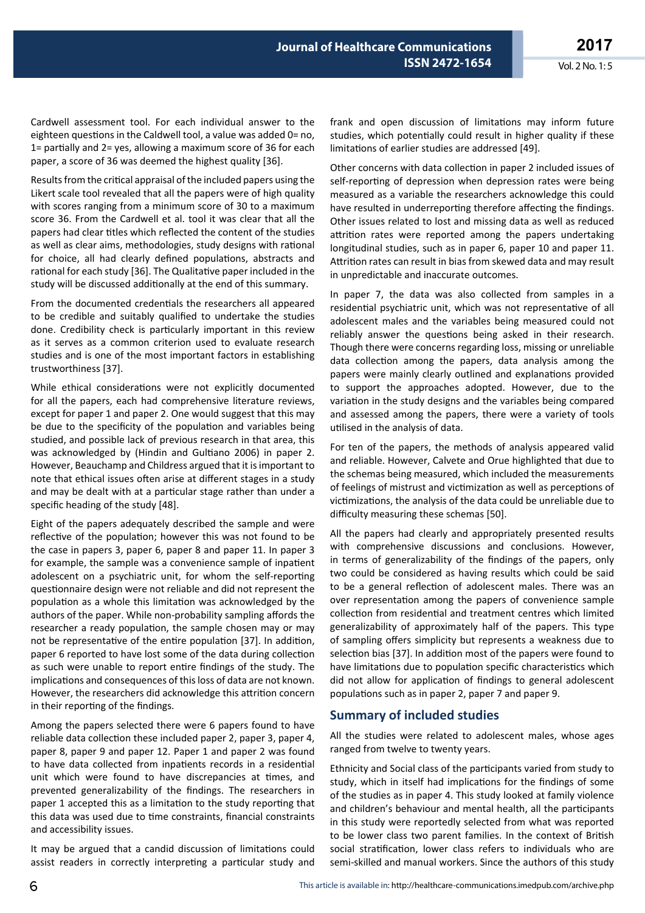Cardwell assessment tool. For each individual answer to the eighteen questions in the Caldwell tool, a value was added 0= no, 1= partially and 2= yes, allowing a maximum score of 36 for each paper, a score of 36 was deemed the highest quality [36].

Results from the critical appraisal of the included papers using the Likert scale tool revealed that all the papers were of high quality with scores ranging from a minimum score of 30 to a maximum score 36. From the Cardwell et al. tool it was clear that all the papers had clear titles which reflected the content of the studies as well as clear aims, methodologies, study designs with rational for choice, all had clearly defined populations, abstracts and rational for each study [36]. The Qualitative paper included in the study will be discussed additionally at the end of this summary.

From the documented credentials the researchers all appeared to be credible and suitably qualified to undertake the studies done. Credibility check is particularly important in this review as it serves as a common criterion used to evaluate research studies and is one of the most important factors in establishing trustworthiness [37].

While ethical considerations were not explicitly documented for all the papers, each had comprehensive literature reviews, except for paper 1 and paper 2. One would suggest that this may be due to the specificity of the population and variables being studied, and possible lack of previous research in that area, this was acknowledged by (Hindin and Gultiano 2006) in paper 2. However, Beauchamp and Childress argued that it isimportant to note that ethical issues often arise at different stages in a study and may be dealt with at a particular stage rather than under a specific heading of the study [48].

Eight of the papers adequately described the sample and were reflective of the population; however this was not found to be the case in papers 3, paper 6, paper 8 and paper 11. In paper 3 for example, the sample was a convenience sample of inpatient adolescent on a psychiatric unit, for whom the self-reporting questionnaire design were not reliable and did not represent the population as a whole this limitation was acknowledged by the authors of the paper. While non-probability sampling affords the researcher a ready population, the sample chosen may or may not be representative of the entire population [37]. In addition, paper 6 reported to have lost some of the data during collection as such were unable to report entire findings of the study. The implications and consequences of this loss of data are not known. However, the researchers did acknowledge this attrition concern in their reporting of the findings.

Among the papers selected there were 6 papers found to have reliable data collection these included paper 2, paper 3, paper 4, paper 8, paper 9 and paper 12. Paper 1 and paper 2 was found to have data collected from inpatients records in a residential unit which were found to have discrepancies at times, and prevented generalizability of the findings. The researchers in paper 1 accepted this as a limitation to the study reporting that this data was used due to time constraints, financial constraints and accessibility issues.

It may be argued that a candid discussion of limitations could assist readers in correctly interpreting a particular study and frank and open discussion of limitations may inform future studies, which potentially could result in higher quality if these limitations of earlier studies are addressed [49].

Other concerns with data collection in paper 2 included issues of self-reporting of depression when depression rates were being measured as a variable the researchers acknowledge this could have resulted in underreporting therefore affecting the findings. Other issues related to lost and missing data as well as reduced attrition rates were reported among the papers undertaking longitudinal studies, such as in paper 6, paper 10 and paper 11. Attrition rates can result in bias from skewed data and may result in unpredictable and inaccurate outcomes.

In paper 7, the data was also collected from samples in a residential psychiatric unit, which was not representative of all adolescent males and the variables being measured could not reliably answer the questions being asked in their research. Though there were concerns regarding loss, missing or unreliable data collection among the papers, data analysis among the papers were mainly clearly outlined and explanations provided to support the approaches adopted. However, due to the variation in the study designs and the variables being compared and assessed among the papers, there were a variety of tools utilised in the analysis of data.

For ten of the papers, the methods of analysis appeared valid and reliable. However, Calvete and Orue highlighted that due to the schemas being measured, which included the measurements of feelings of mistrust and victimization as well as perceptions of victimizations, the analysis of the data could be unreliable due to difficulty measuring these schemas [50].

All the papers had clearly and appropriately presented results with comprehensive discussions and conclusions. However, in terms of generalizability of the findings of the papers, only two could be considered as having results which could be said to be a general reflection of adolescent males. There was an over representation among the papers of convenience sample collection from residential and treatment centres which limited generalizability of approximately half of the papers. This type of sampling offers simplicity but represents a weakness due to selection bias [37]. In addition most of the papers were found to have limitations due to population specific characteristics which did not allow for application of findings to general adolescent populations such as in paper 2, paper 7 and paper 9.

### **Summary of included studies**

All the studies were related to adolescent males, whose ages ranged from twelve to twenty years.

Ethnicity and Social class of the participants varied from study to study, which in itself had implications for the findings of some of the studies as in paper 4. This study looked at family violence and children's behaviour and mental health, all the participants in this study were reportedly selected from what was reported to be lower class two parent families. In the context of British social stratification, lower class refers to individuals who are semi-skilled and manual workers. Since the authors of this study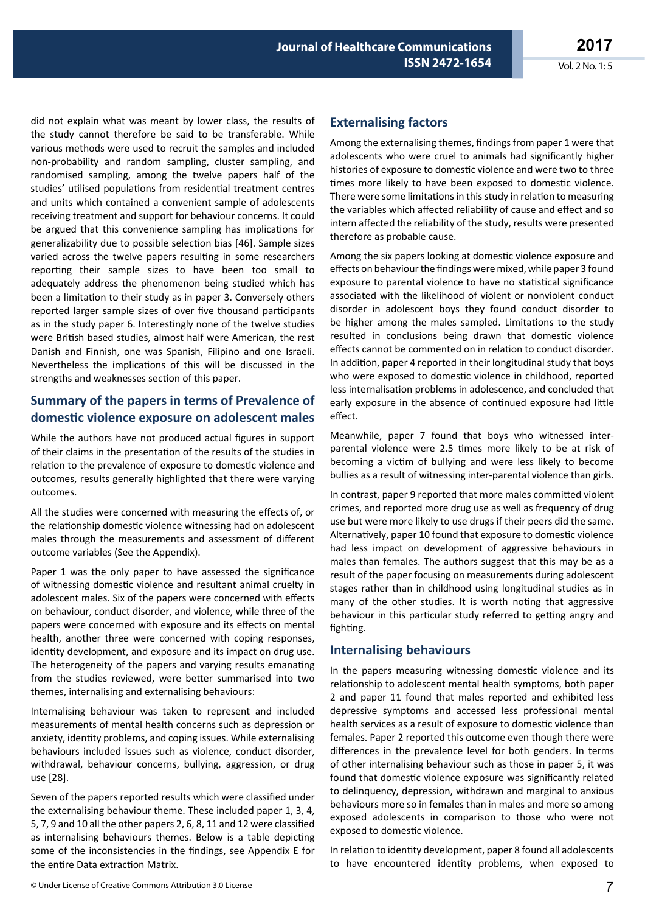**2017** Vol. 2 No. 1: 5

did not explain what was meant by lower class, the results of the study cannot therefore be said to be transferable. While various methods were used to recruit the samples and included non-probability and random sampling, cluster sampling, and randomised sampling, among the twelve papers half of the studies' utilised populations from residential treatment centres and units which contained a convenient sample of adolescents receiving treatment and support for behaviour concerns. It could be argued that this convenience sampling has implications for generalizability due to possible selection bias [46]. Sample sizes varied across the twelve papers resulting in some researchers reporting their sample sizes to have been too small to adequately address the phenomenon being studied which has been a limitation to their study as in paper 3. Conversely others reported larger sample sizes of over five thousand participants as in the study paper 6. Interestingly none of the twelve studies were British based studies, almost half were American, the rest Danish and Finnish, one was Spanish, Filipino and one Israeli. Nevertheless the implications of this will be discussed in the strengths and weaknesses section of this paper.

### **Summary of the papers in terms of Prevalence of domestic violence exposure on adolescent males**

While the authors have not produced actual figures in support of their claims in the presentation of the results of the studies in relation to the prevalence of exposure to domestic violence and outcomes, results generally highlighted that there were varying outcomes.

All the studies were concerned with measuring the effects of, or the relationship domestic violence witnessing had on adolescent males through the measurements and assessment of different outcome variables (See the Appendix).

Paper 1 was the only paper to have assessed the significance of witnessing domestic violence and resultant animal cruelty in adolescent males. Six of the papers were concerned with effects on behaviour, conduct disorder, and violence, while three of the papers were concerned with exposure and its effects on mental health, another three were concerned with coping responses, identity development, and exposure and its impact on drug use. The heterogeneity of the papers and varying results emanating from the studies reviewed, were better summarised into two themes, internalising and externalising behaviours:

Internalising behaviour was taken to represent and included measurements of mental health concerns such as depression or anxiety, identity problems, and coping issues. While externalising behaviours included issues such as violence, conduct disorder, withdrawal, behaviour concerns, bullying, aggression, or drug use [28].

Seven of the papers reported results which were classified under the externalising behaviour theme. These included paper 1, 3, 4, 5, 7, 9 and 10 all the other papers 2, 6, 8, 11 and 12 were classified as internalising behaviours themes. Below is a table depicting some of the inconsistencies in the findings, see Appendix E for the entire Data extraction Matrix.

### **Externalising factors**

Among the externalising themes, findings from paper 1 were that adolescents who were cruel to animals had significantly higher histories of exposure to domestic violence and were two to three times more likely to have been exposed to domestic violence. There were some limitations in this study in relation to measuring the variables which affected reliability of cause and effect and so intern affected the reliability of the study, results were presented therefore as probable cause.

Among the six papers looking at domestic violence exposure and effects on behaviour the findings were mixed, while paper 3 found exposure to parental violence to have no statistical significance associated with the likelihood of violent or nonviolent conduct disorder in adolescent boys they found conduct disorder to be higher among the males sampled. Limitations to the study resulted in conclusions being drawn that domestic violence effects cannot be commented on in relation to conduct disorder. In addition, paper 4 reported in their longitudinal study that boys who were exposed to domestic violence in childhood, reported less internalisation problems in adolescence, and concluded that early exposure in the absence of continued exposure had little effect.

Meanwhile, paper 7 found that boys who witnessed interparental violence were 2.5 times more likely to be at risk of becoming a victim of bullying and were less likely to become bullies as a result of witnessing inter-parental violence than girls.

In contrast, paper 9 reported that more males committed violent crimes, and reported more drug use as well as frequency of drug use but were more likely to use drugs if their peers did the same. Alternatively, paper 10 found that exposure to domestic violence had less impact on development of aggressive behaviours in males than females. The authors suggest that this may be as a result of the paper focusing on measurements during adolescent stages rather than in childhood using longitudinal studies as in many of the other studies. It is worth noting that aggressive behaviour in this particular study referred to getting angry and fighting.

### **Internalising behaviours**

In the papers measuring witnessing domestic violence and its relationship to adolescent mental health symptoms, both paper 2 and paper 11 found that males reported and exhibited less depressive symptoms and accessed less professional mental health services as a result of exposure to domestic violence than females. Paper 2 reported this outcome even though there were differences in the prevalence level for both genders. In terms of other internalising behaviour such as those in paper 5, it was found that domestic violence exposure was significantly related to delinquency, depression, withdrawn and marginal to anxious behaviours more so in females than in males and more so among exposed adolescents in comparison to those who were not exposed to domestic violence.

In relation to identity development, paper 8 found all adolescents to have encountered identity problems, when exposed to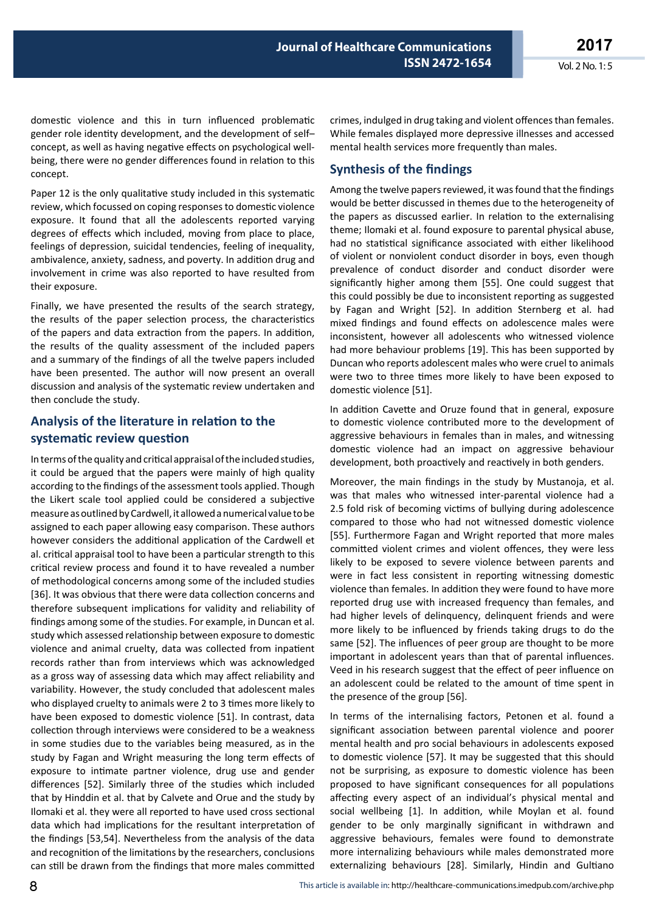domestic violence and this in turn influenced problematic gender role identity development, and the development of self– concept, as well as having negative effects on psychological wellbeing, there were no gender differences found in relation to this concept.

Paper 12 is the only qualitative study included in this systematic review, which focussed on coping responsesto domestic violence exposure. It found that all the adolescents reported varying degrees of effects which included, moving from place to place, feelings of depression, suicidal tendencies, feeling of inequality, ambivalence, anxiety, sadness, and poverty. In addition drug and involvement in crime was also reported to have resulted from their exposure.

Finally, we have presented the results of the search strategy, the results of the paper selection process, the characteristics of the papers and data extraction from the papers. In addition, the results of the quality assessment of the included papers and a summary of the findings of all the twelve papers included have been presented. The author will now present an overall discussion and analysis of the systematic review undertaken and then conclude the study.

## **Analysis of the literature in relation to the systematic review question**

In terms of the quality and critical appraisal of the included studies, it could be argued that the papers were mainly of high quality according to the findings of the assessment tools applied. Though the Likert scale tool applied could be considered a subjective measure as outlined by Cardwell, it allowed a numerical value to be assigned to each paper allowing easy comparison. These authors however considers the additional application of the Cardwell et al. critical appraisal tool to have been a particular strength to this critical review process and found it to have revealed a number of methodological concerns among some of the included studies [36]. It was obvious that there were data collection concerns and therefore subsequent implications for validity and reliability of findings among some of the studies. For example, in Duncan et al. study which assessed relationship between exposure to domestic violence and animal cruelty, data was collected from inpatient records rather than from interviews which was acknowledged as a gross way of assessing data which may affect reliability and variability. However, the study concluded that adolescent males who displayed cruelty to animals were 2 to 3 times more likely to have been exposed to domestic violence [51]. In contrast, data collection through interviews were considered to be a weakness in some studies due to the variables being measured, as in the study by Fagan and Wright measuring the long term effects of exposure to intimate partner violence, drug use and gender differences [52]. Similarly three of the studies which included that by Hinddin et al. that by Calvete and Orue and the study by Ilomaki et al. they were all reported to have used cross sectional data which had implications for the resultant interpretation of the findings [53,54]. Nevertheless from the analysis of the data and recognition of the limitations by the researchers, conclusions can still be drawn from the findings that more males committed

crimes, indulged in drug taking and violent offencesthan females. While females displayed more depressive illnesses and accessed mental health services more frequently than males.

# **Synthesis of the findings**

Among the twelve papers reviewed, it was found that the findings would be better discussed in themes due to the heterogeneity of the papers as discussed earlier. In relation to the externalising theme; Ilomaki et al. found exposure to parental physical abuse, had no statistical significance associated with either likelihood of violent or nonviolent conduct disorder in boys, even though prevalence of conduct disorder and conduct disorder were significantly higher among them [55]. One could suggest that this could possibly be due to inconsistent reporting as suggested by Fagan and Wright [52]. In addition Sternberg et al. had mixed findings and found effects on adolescence males were inconsistent, however all adolescents who witnessed violence had more behaviour problems [19]. This has been supported by Duncan who reports adolescent males who were cruel to animals were two to three times more likely to have been exposed to domestic violence [51].

In addition Cavette and Oruze found that in general, exposure to domestic violence contributed more to the development of aggressive behaviours in females than in males, and witnessing domestic violence had an impact on aggressive behaviour development, both proactively and reactively in both genders.

Moreover, the main findings in the study by Mustanoja, et al. was that males who witnessed inter-parental violence had a 2.5 fold risk of becoming victims of bullying during adolescence compared to those who had not witnessed domestic violence [55]. Furthermore Fagan and Wright reported that more males committed violent crimes and violent offences, they were less likely to be exposed to severe violence between parents and were in fact less consistent in reporting witnessing domestic violence than females. In addition they were found to have more reported drug use with increased frequency than females, and had higher levels of delinquency, delinquent friends and were more likely to be influenced by friends taking drugs to do the same [52]. The influences of peer group are thought to be more important in adolescent years than that of parental influences. Veed in his research suggest that the effect of peer influence on an adolescent could be related to the amount of time spent in the presence of the group [56].

In terms of the internalising factors, Petonen et al. found a significant association between parental violence and poorer mental health and pro social behaviours in adolescents exposed to domestic violence [57]. It may be suggested that this should not be surprising, as exposure to domestic violence has been proposed to have significant consequences for all populations affecting every aspect of an individual's physical mental and social wellbeing [1]. In addition, while Moylan et al. found gender to be only marginally significant in withdrawn and aggressive behaviours, females were found to demonstrate more internalizing behaviours while males demonstrated more externalizing behaviours [28]. Similarly, Hindin and Gultiano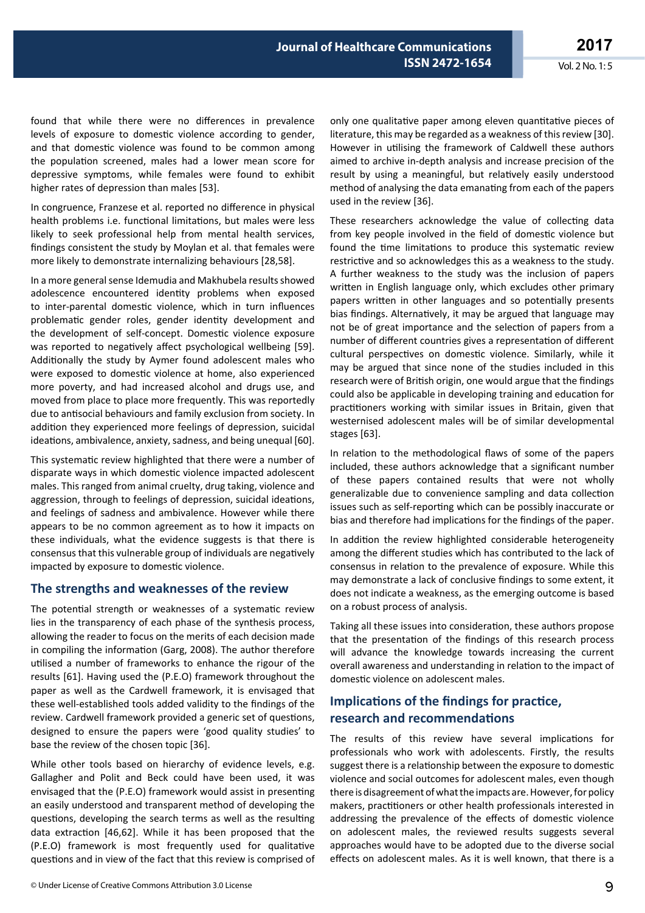found that while there were no differences in prevalence levels of exposure to domestic violence according to gender, and that domestic violence was found to be common among the population screened, males had a lower mean score for depressive symptoms, while females were found to exhibit higher rates of depression than males [53].

In congruence, Franzese et al. reported no difference in physical health problems i.e. functional limitations, but males were less likely to seek professional help from mental health services, findings consistent the study by Moylan et al. that females were more likely to demonstrate internalizing behaviours [28,58].

In a more general sense Idemudia and Makhubela results showed adolescence encountered identity problems when exposed to inter-parental domestic violence, which in turn influences problematic gender roles, gender identity development and the development of self-concept. Domestic violence exposure was reported to negatively affect psychological wellbeing [59]. Additionally the study by Aymer found adolescent males who were exposed to domestic violence at home, also experienced more poverty, and had increased alcohol and drugs use, and moved from place to place more frequently. This was reportedly due to antisocial behaviours and family exclusion from society. In addition they experienced more feelings of depression, suicidal ideations, ambivalence, anxiety, sadness, and being unequal [60].

This systematic review highlighted that there were a number of disparate ways in which domestic violence impacted adolescent males. This ranged from animal cruelty, drug taking, violence and aggression, through to feelings of depression, suicidal ideations, and feelings of sadness and ambivalence. However while there appears to be no common agreement as to how it impacts on these individuals, what the evidence suggests is that there is consensusthat this vulnerable group of individuals are negatively impacted by exposure to domestic violence.

### **The strengths and weaknesses of the review**

The potential strength or weaknesses of a systematic review lies in the transparency of each phase of the synthesis process, allowing the reader to focus on the merits of each decision made in compiling the information (Garg, 2008). The author therefore utilised a number of frameworks to enhance the rigour of the results [61]. Having used the (P.E.O) framework throughout the paper as well as the Cardwell framework, it is envisaged that these well-established tools added validity to the findings of the review. Cardwell framework provided a generic set of questions, designed to ensure the papers were 'good quality studies' to base the review of the chosen topic [36].

While other tools based on hierarchy of evidence levels, e.g. Gallagher and Polit and Beck could have been used, it was envisaged that the (P.E.O) framework would assist in presenting an easily understood and transparent method of developing the questions, developing the search terms as well as the resulting data extraction [46,62]. While it has been proposed that the (P.E.O) framework is most frequently used for qualitative questions and in view of the fact that this review is comprised of

only one qualitative paper among eleven quantitative pieces of literature, this may be regarded as a weakness of this review [30]. However in utilising the framework of Caldwell these authors aimed to archive in-depth analysis and increase precision of the result by using a meaningful, but relatively easily understood method of analysing the data emanating from each of the papers used in the review [36].

These researchers acknowledge the value of collecting data from key people involved in the field of domestic violence but found the time limitations to produce this systematic review restrictive and so acknowledges this as a weakness to the study. A further weakness to the study was the inclusion of papers written in English language only, which excludes other primary papers written in other languages and so potentially presents bias findings. Alternatively, it may be argued that language may not be of great importance and the selection of papers from a number of different countries gives a representation of different cultural perspectives on domestic violence. Similarly, while it may be argued that since none of the studies included in this research were of British origin, one would argue that the findings could also be applicable in developing training and education for practitioners working with similar issues in Britain, given that westernised adolescent males will be of similar developmental stages [63].

In relation to the methodological flaws of some of the papers included, these authors acknowledge that a significant number of these papers contained results that were not wholly generalizable due to convenience sampling and data collection issues such as self-reporting which can be possibly inaccurate or bias and therefore had implications for the findings of the paper.

In addition the review highlighted considerable heterogeneity among the different studies which has contributed to the lack of consensus in relation to the prevalence of exposure. While this may demonstrate a lack of conclusive findings to some extent, it does not indicate a weakness, as the emerging outcome is based on a robust process of analysis.

Taking all these issues into consideration, these authors propose that the presentation of the findings of this research process will advance the knowledge towards increasing the current overall awareness and understanding in relation to the impact of domestic violence on adolescent males.

### **Implications of the findings for practice, research and recommendations**

The results of this review have several implications for professionals who work with adolescents. Firstly, the results suggest there is a relationship between the exposure to domestic violence and social outcomes for adolescent males, even though there is disagreement of what the impacts are. However, for policy makers, practitioners or other health professionals interested in addressing the prevalence of the effects of domestic violence on adolescent males, the reviewed results suggests several approaches would have to be adopted due to the diverse social effects on adolescent males. As it is well known, that there is a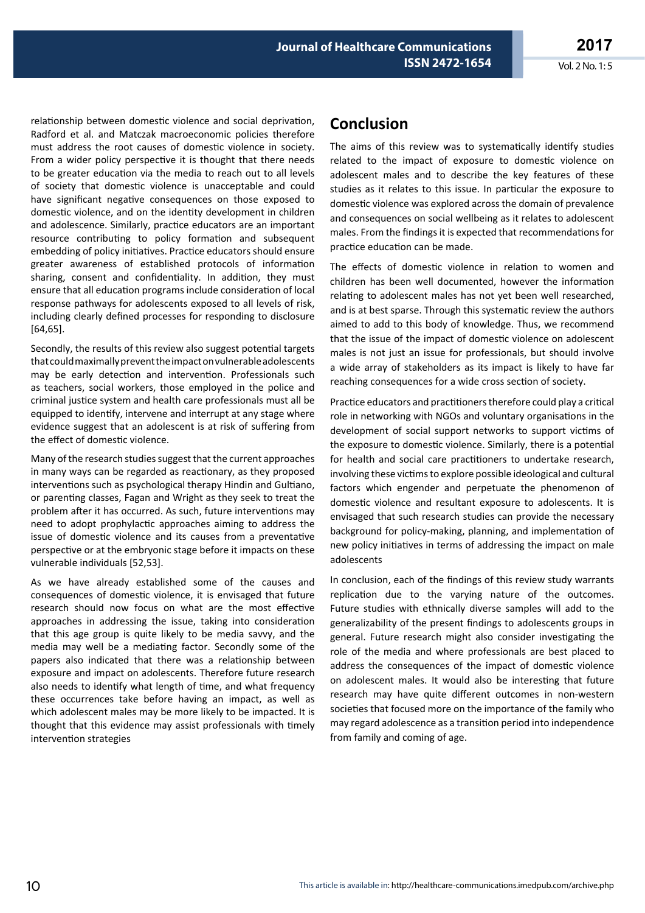**2017** Vol. 2 No. 1: 5

relationship between domestic violence and social deprivation, Radford et al. and Matczak macroeconomic policies therefore must address the root causes of domestic violence in society. From a wider policy perspective it is thought that there needs to be greater education via the media to reach out to all levels of society that domestic violence is unacceptable and could have significant negative consequences on those exposed to domestic violence, and on the identity development in children and adolescence. Similarly, practice educators are an important resource contributing to policy formation and subsequent embedding of policy initiatives. Practice educators should ensure greater awareness of established protocols of information sharing, consent and confidentiality. In addition, they must ensure that all education programs include consideration of local response pathways for adolescents exposed to all levels of risk, including clearly defined processes for responding to disclosure [64,65].

Secondly, the results of this review also suggest potential targets thatcouldmaximallypreventtheimpactonvulnerableadolescents may be early detection and intervention. Professionals such as teachers, social workers, those employed in the police and criminal justice system and health care professionals must all be equipped to identify, intervene and interrupt at any stage where evidence suggest that an adolescent is at risk of suffering from the effect of domestic violence.

Many of the research studies suggest that the current approaches in many ways can be regarded as reactionary, as they proposed interventions such as psychological therapy Hindin and Gultiano, or parenting classes, Fagan and Wright as they seek to treat the problem after it has occurred. As such, future interventions may need to adopt prophylactic approaches aiming to address the issue of domestic violence and its causes from a preventative perspective or at the embryonic stage before it impacts on these vulnerable individuals [52,53].

As we have already established some of the causes and consequences of domestic violence, it is envisaged that future research should now focus on what are the most effective approaches in addressing the issue, taking into consideration that this age group is quite likely to be media savvy, and the media may well be a mediating factor. Secondly some of the papers also indicated that there was a relationship between exposure and impact on adolescents. Therefore future research also needs to identify what length of time, and what frequency these occurrences take before having an impact, as well as which adolescent males may be more likely to be impacted. It is thought that this evidence may assist professionals with timely intervention strategies

# **Conclusion**

The aims of this review was to systematically identify studies related to the impact of exposure to domestic violence on adolescent males and to describe the key features of these studies as it relates to this issue. In particular the exposure to domestic violence was explored across the domain of prevalence and consequences on social wellbeing as it relates to adolescent males. From the findings it is expected that recommendations for practice education can be made.

The effects of domestic violence in relation to women and children has been well documented, however the information relating to adolescent males has not yet been well researched, and is at best sparse. Through this systematic review the authors aimed to add to this body of knowledge. Thus, we recommend that the issue of the impact of domestic violence on adolescent males is not just an issue for professionals, but should involve a wide array of stakeholders as its impact is likely to have far reaching consequences for a wide cross section of society.

Practice educators and practitionerstherefore could play a critical role in networking with NGOs and voluntary organisations in the development of social support networks to support victims of the exposure to domestic violence. Similarly, there is a potential for health and social care practitioners to undertake research, involving these victimsto explore possible ideological and cultural factors which engender and perpetuate the phenomenon of domestic violence and resultant exposure to adolescents. It is envisaged that such research studies can provide the necessary background for policy-making, planning, and implementation of new policy initiatives in terms of addressing the impact on male adolescents

In conclusion, each of the findings of this review study warrants replication due to the varying nature of the outcomes. Future studies with ethnically diverse samples will add to the generalizability of the present findings to adolescents groups in general. Future research might also consider investigating the role of the media and where professionals are best placed to address the consequences of the impact of domestic violence on adolescent males. It would also be interesting that future research may have quite different outcomes in non-western societies that focused more on the importance of the family who may regard adolescence as a transition period into independence from family and coming of age.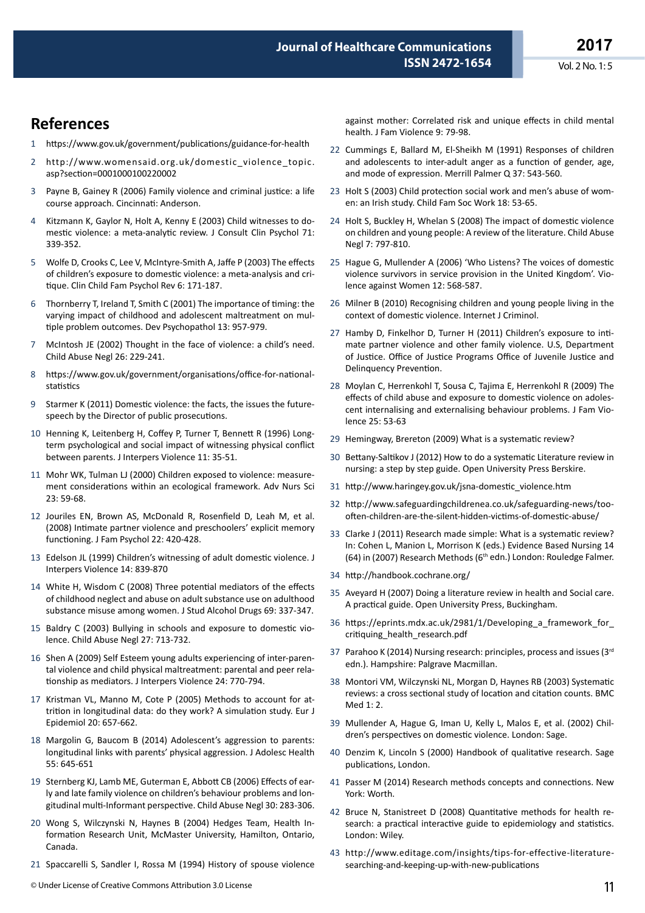# **References**

- 1 https://www.gov.uk/government/publications/guidance-for-health
- 2 http://www.womensaid.org.uk/domestic\_violence\_topic. asp?section=0001000100220002
- 3 Payne B, Gainey R (2006) Family violence and criminal justice: a life course approach. Cincinnati: Anderson.
- 4 Kitzmann K, Gaylor N, Holt A, Kenny E (2003) Child witnesses to domestic violence: a meta-analytic review. J Consult Clin Psychol 71: 339-352.
- 5 Wolfe D, Crooks C, Lee V, McIntyre-Smith A, Jaffe P (2003) The effects of children's exposure to domestic violence: a meta-analysis and critique. Clin Child Fam Psychol Rev 6: 171-187.
- 6 Thornberry T, Ireland T, Smith C (2001) The importance of timing: the varying impact of childhood and adolescent maltreatment on multiple problem outcomes. Dev Psychopathol 13: 957-979.
- 7 McIntosh JE (2002) Thought in the face of violence: a child's need. Child Abuse Negl 26: 229-241.
- 8 https://www.gov.uk/government/organisations/office-for-nationalstatistics
- 9 Starmer K (2011) Domestic violence: the facts, the issues the futurespeech by the Director of public prosecutions.
- 10 Henning K, Leitenberg H, Coffey P, Turner T, Bennett R (1996) Longterm psychological and social impact of witnessing physical conflict between parents. J Interpers Violence 11: 35-51.
- 11 Mohr WK, Tulman LJ (2000) Children exposed to violence: measurement considerations within an ecological framework. Adv Nurs Sci 23: 59-68.
- 12 Jouriles EN, Brown AS, McDonald R, Rosenfield D, Leah M, et al. (2008) Intimate partner violence and preschoolers' explicit memory functioning. J Fam Psychol 22: 420-428.
- 13 Edelson JL (1999) Children's witnessing of adult domestic violence. J Interpers Violence 14: 839-870
- 14 White H, Wisdom C (2008) Three potential mediators of the effects of childhood neglect and abuse on adult substance use on adulthood substance misuse among women. J Stud Alcohol Drugs 69: 337-347.
- 15 Baldry C (2003) Bullying in schools and exposure to domestic violence. Child Abuse Negl 27: 713-732.
- 16 Shen A (2009) Self Esteem young adults experiencing of inter-parental violence and child physical maltreatment: parental and peer relationship as mediators. J Interpers Violence 24: 770-794.
- 17 Kristman VL, Manno M, Cote P (2005) Methods to account for attrition in longitudinal data: do they work? A simulation study. Eur J Epidemiol 20: 657-662.
- 18 Margolin G, Baucom B (2014) Adolescent's aggression to parents: longitudinal links with parents' physical aggression. J Adolesc Health 55: 645-651
- 19 Sternberg KJ, Lamb ME, Guterman E, Abbott CB (2006) Effects of early and late family violence on children's behaviour problems and longitudinal multi-Informant perspective. Child Abuse Negl 30: 283-306.
- 20 Wong S, Wilczynski N, Haynes B (2004) Hedges Team, Health Information Research Unit, McMaster University, Hamilton, Ontario, Canada.
- 21 Spaccarelli S, Sandler I, Rossa M (1994) History of spouse violence

against mother: Correlated risk and unique effects in child mental health. J Fam Violence 9: 79-98.

- 22 Cummings E, Ballard M, El-Sheikh M (1991) Responses of children and adolescents to inter-adult anger as a function of gender, age, and mode of expression. Merrill Palmer Q 37: 543-560.
- 23 Holt S (2003) Child protection social work and men's abuse of women: an Irish study. Child Fam Soc Work 18: 53-65.
- 24 Holt S, Buckley H, Whelan S (2008) The impact of domestic violence on children and young people: A review of the literature. Child Abuse Negl 7: 797-810.
- 25 Hague G, Mullender A (2006) 'Who Listens? The voices of domestic violence survivors in service provision in the United Kingdom'. Violence against Women 12: 568-587.
- 26 Milner B (2010) Recognising children and young people living in the context of domestic violence. Internet J Criminol.
- 27 Hamby D, Finkelhor D, Turner H (2011) Children's exposure to intimate partner violence and other family violence. U.S, Department of Justice. Office of Justice Programs Office of Juvenile Justice and Delinquency Prevention.
- 28 Moylan C, Herrenkohl T, Sousa C, Tajima E, Herrenkohl R (2009) The effects of child abuse and exposure to domestic violence on adolescent internalising and externalising behaviour problems. J Fam Violence 25: 53-63
- 29 Hemingway, Brereton (2009) What is a systematic review?
- 30 Bettany-Saltikov J (2012) How to do a systematic Literature review in nursing: a step by step guide. Open University Press Berskire.
- 31 http://www.haringey.gov.uk/jsna-domestic violence.htm
- 32 http://www.safeguardingchildrenea.co.uk/safeguarding-news/toooften-children-are-the-silent-hidden-victims-of-domestic-abuse/
- 33 Clarke J (2011) Research made simple: What is a systematic review? In: Cohen L, Manion L, Morrison K (eds.) Evidence Based Nursing 14 (64) in (2007) Research Methods (6<sup>th</sup> edn.) London: Rouledge Falmer.
- 34 http://handbook.cochrane.org/
- 35 Aveyard H (2007) Doing a literature review in health and Social care. A practical guide. Open University Press, Buckingham.
- 36 https://eprints.mdx.ac.uk/2981/1/Developing\_a\_framework\_for\_ critiquing\_health\_research.pdf
- 37 Parahoo K (2014) Nursing research: principles, process and issues (3rd edn.). Hampshire: Palgrave Macmillan.
- 38 Montori VM, Wilczynski NL, Morgan D, Haynes RB (2003) Systematic reviews: a cross sectional study of location and citation counts. BMC Med 1: 2.
- 39 Mullender A, Hague G, Iman U, Kelly L, Malos E, et al. (2002) Children's perspectives on domestic violence. London: Sage.
- 40 Denzim K, Lincoln S (2000) Handbook of qualitative research. Sage publications, London.
- 41 Passer M (2014) Research methods concepts and connections. New York: Worth.
- 42 Bruce N, Stanistreet D (2008) Quantitative methods for health research: a practical interactive guide to epidemiology and statistics. London: Wiley.
- 43 http://www.editage.com/insights/tips-for-effective-literaturesearching-and-keeping-up-with-new-publications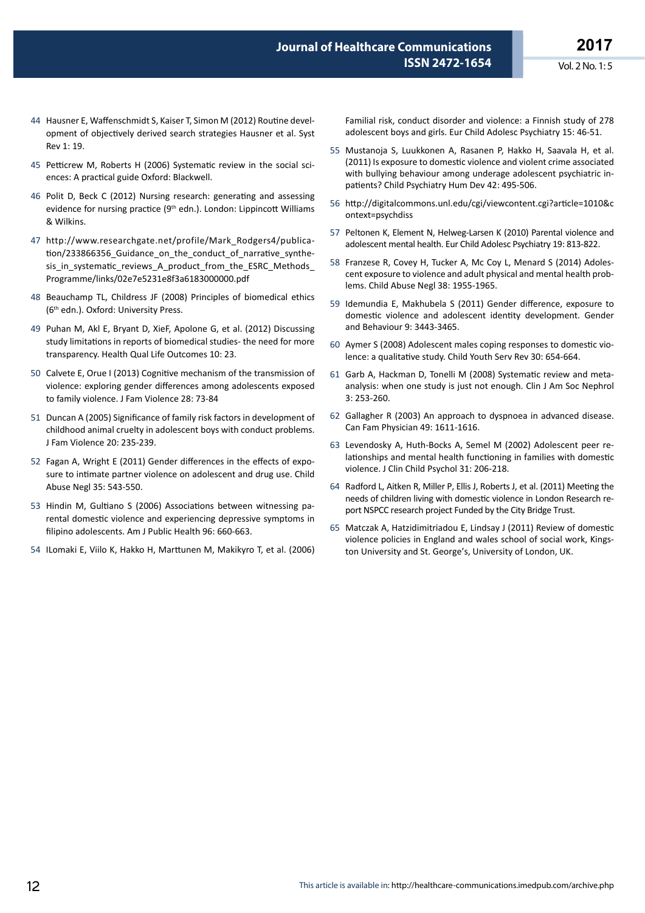- 44 Hausner E, Waffenschmidt S, Kaiser T, Simon M (2012) Routine development of objectively derived search strategies Hausner et al. Syst Rev 1: 19.
- 45 Petticrew M, Roberts H (2006) Systematic review in the social sciences: A practical guide Oxford: Blackwell.
- 46 Polit D, Beck C (2012) Nursing research: generating and assessing evidence for nursing practice (9<sup>th</sup> edn.). London: Lippincott Williams & Wilkins.
- 47 http://www.researchgate.net/profile/Mark Rodgers4/publication/233866356\_Guidance\_on\_the\_conduct\_of\_narrative\_synthesis\_in\_systematic\_reviews\_A\_product\_from\_the\_ESRC\_Methods\_ Programme/links/02e7e5231e8f3a6183000000.pdf
- 48 Beauchamp TL, Childress JF (2008) Principles of biomedical ethics (6th edn.). Oxford: University Press.
- 49 Puhan M, Akl E, Bryant D, XieF, Apolone G, et al. (2012) Discussing study limitations in reports of biomedical studies- the need for more transparency. Health Qual Life Outcomes 10: 23.
- 50 Calvete E, Orue I (2013) Cognitive mechanism of the transmission of violence: exploring gender differences among adolescents exposed to family violence. J Fam Violence 28: 73-84
- 51 Duncan A (2005) Significance of family risk factors in development of childhood animal cruelty in adolescent boys with conduct problems. J Fam Violence 20: 235-239.
- 52 Fagan A, Wright E (2011) Gender differences in the effects of exposure to intimate partner violence on adolescent and drug use. Child Abuse Negl 35: 543-550.
- 53 Hindin M, Gultiano S (2006) Associations between witnessing parental domestic violence and experiencing depressive symptoms in filipino adolescents. Am J Public Health 96: 660-663.
- 54 ILomaki E, Viilo K, Hakko H, Marttunen M, Makikyro T, et al. (2006)

Familial risk, conduct disorder and violence: a Finnish study of 278 adolescent boys and girls. Eur Child Adolesc Psychiatry 15: 46-51.

- 55 Mustanoja S, Luukkonen A, Rasanen P, Hakko H, Saavala H, et al. (2011) Is exposure to domestic violence and violent crime associated with bullying behaviour among underage adolescent psychiatric inpatients? Child Psychiatry Hum Dev 42: 495-506.
- 56 http://digitalcommons.unl.edu/cgi/viewcontent.cgi?article=1010&c ontext=psychdiss
- 57 Peltonen K, Element N, Helweg-Larsen K (2010) Parental violence and adolescent mental health. Eur Child Adolesc Psychiatry 19: 813-822.
- 58 Franzese R, Covey H, Tucker A, Mc Coy L, Menard S (2014) Adolescent exposure to violence and adult physical and mental health problems. Child Abuse Negl 38: 1955-1965.
- 59 Idemundia E, Makhubela S (2011) Gender difference, exposure to domestic violence and adolescent identity development. Gender and Behaviour 9: 3443-3465.
- 60 Aymer S (2008) Adolescent males coping responses to domestic violence: a qualitative study. Child Youth Serv Rev 30: 654-664.
- 61 Garb A, Hackman D, Tonelli M (2008) Systematic review and metaanalysis: when one study is just not enough. Clin J Am Soc Nephrol 3: 253-260.
- 62 Gallagher R (2003) An approach to dyspnoea in advanced disease. Can Fam Physician 49: 1611-1616.
- 63 Levendosky A, Huth-Bocks A, Semel M (2002) Adolescent peer relationships and mental health functioning in families with domestic violence. J Clin Child Psychol 31: 206-218.
- 64 Radford L, Aitken R, Miller P, Ellis J, Roberts J, et al. (2011) Meeting the needs of children living with domestic violence in London Research report NSPCC research project Funded by the City Bridge Trust.
- 65 Matczak A, Hatzidimitriadou E, Lindsay J (2011) Review of domestic violence policies in England and wales school of social work, Kingston University and St. George's, University of London, UK.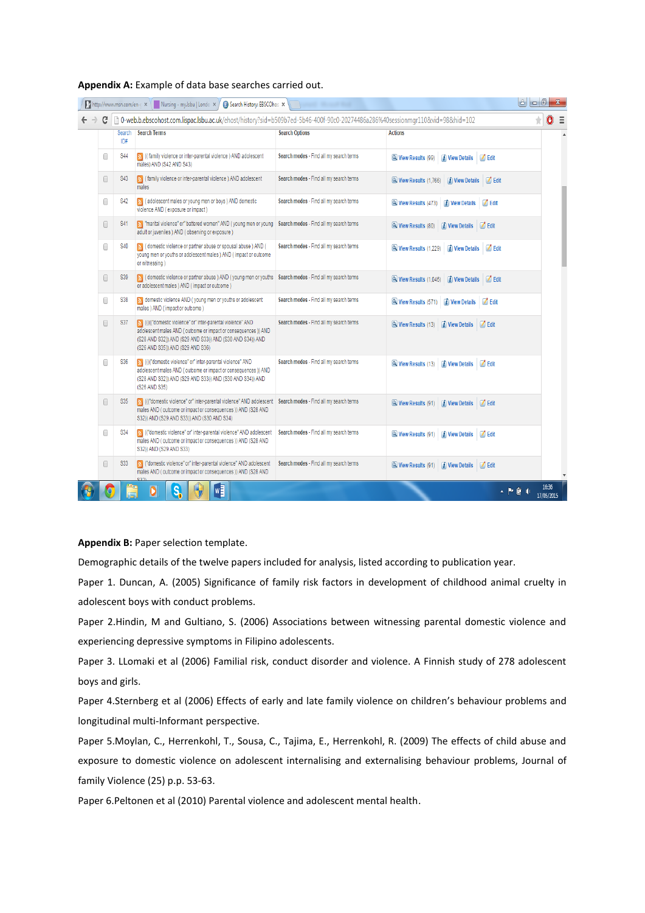**Appendix A:** Example of data base searches carried out.

| C      |               | D-web.b.ebscohost.com.lispac.lsbu.ac.uk/ehost/history?sid=b509b7ed-5b46-400f-90c0-20274486a286%40sessionmgr110&vid=98&hid=102                                                                                                            |                                         |                                                                      |  |
|--------|---------------|------------------------------------------------------------------------------------------------------------------------------------------------------------------------------------------------------------------------------------------|-----------------------------------------|----------------------------------------------------------------------|--|
|        | Search<br>ID# | <b>Search Terms</b>                                                                                                                                                                                                                      | <b>Search Options</b>                   | <b>Actions</b>                                                       |  |
| 0      | <b>S44</b>    | (family violence or inter-parental violence) AND adolescent<br>males) AND (S42 AND S43)                                                                                                                                                  | Search modes - Find all my search terms | View Results (99)<br><i><b>T</b></i> View Details<br><b>Z</b> Edit   |  |
| 0      | S43           | (family violence or inter-parental violence) AND adolescent<br>males                                                                                                                                                                     | Search modes - Find all my search terms | View Results (1,766)<br><i>i</i> View Details<br>$\blacksquare$ Edit |  |
| 0      | S42           | adolescent males or young men or boys ) AND domestic<br>violence AND (exposure or impact)                                                                                                                                                | Search modes - Find all my search terms | <b>7</b> View Details<br>View Results (473)<br><b>Z</b> Edit         |  |
| 0      | <b>S41</b>    | marital violence" or" battered women" AND (young men or young<br>adult or juveniles ) AND (observing or exposure)                                                                                                                        | Search modes - Find all my search terms | Wiew Results (80)<br><b>Z</b> Edit<br><i>i</i> View Details          |  |
| 0      | <b>S40</b>    | of (domestic violence or partner abuse or spousal abuse ) AND (<br>young men or youths or adolescent males ) AND (impact or outcome<br>or witnessing)                                                                                    | Search modes - Find all my search terms | View Results (1,229)<br><b>7</b> View Details<br><b>Z</b> Edit       |  |
| 0      | S39           | (domestic violence or partner abuse ) AND (young men or youths   Search modes - Find all my search terms<br>or adolescent males ) AND (impact or outcome)                                                                                |                                         | View Results (1,046) 7 View Details<br><b>Z</b> Edit                 |  |
| 0      | <b>S38</b>    | domestic violence AND (young men or youths or adolescent<br>males ) AND (impact or outcome)                                                                                                                                              | Search modes - Find all my search terms | View Results (571)<br><i><b>T</b></i> View Details<br>$\angle$ Edit  |  |
| $\Box$ | <b>S37</b>    | Mullet (III) (III) comestic violence" or" inter-parental violence" AND<br>adolescent males AND (outcome or impact or consequences )) AND<br>(S28 AND S32)) AND (S29 AND S33)) AND (S30 AND S34)) AND<br>(S26 AND S35)) AND (S29 AND S36) | Search modes - Find all my search terms | View Results (13) 7 View Details<br><b>Z</b> Edit                    |  |
| 0      | S36           | (((("domestic violence" or" inter-parental violence" AND<br>adolescent males AND (outcome or impact or consequences )) AND<br>(S28 AND S32)) AND (S29 AND S33)) AND (S30 AND S34)) AND<br>(S26 AND S35)                                  | Search modes - Find all my search terms | View Results (13)<br><b>⊿</b> Edit<br><i>i</i> View Details          |  |
| $\Box$ | <b>S35</b>    | M ((("domestic violence" or" inter-parental violence" AND adolescent<br>males AND (outcome or impact or consequences)) AND (S28 AND<br>S32)) AND (S29 AND S33)) AND (S30 AND S34)                                                        | Search modes - Find all my search terms | View Results (91) 7 View Details 7 Edit                              |  |
| 0      | S34           | ("domestic violence" or" inter-parental violence" AND adolescent<br>males AND (outcome or impact or consequences)) AND (S28 AND<br>S32)) AND (S29 AND S33)                                                                               | Search modes - Find all my search terms | View Results (91)<br><i>i</i> View Details<br><b>Z</b> Edit          |  |
| $\Box$ | <b>S33</b>    | M ("domestic violence" or" inter-parental violence" AND adolescent<br>males AND (outcome or impact or consequences )) AND (S28 AND                                                                                                       | Search modes - Find all my search terms | View Results (91) 7 View Details<br><b>Z</b> Edit                    |  |

Appendix B: Paper selection template.

Demographic details of the twelve papers included for analysis, listed according to publication year.

Paper 1. Duncan, A. (2005) Significance of family risk factors in development of childhood animal cruelty in adolescent boys with conduct problems.

Paper 2.Hindin, M and Gultiano, S. (2006) Associations between witnessing parental domestic violence and experiencing depressive symptoms in Filipino adolescents.

Paper 3. LLomaki et al (2006) Familial risk, conduct disorder and violence. A Finnish study of 278 adolescent boys and girls.

Paper 4.Sternberg et al (2006) Effects of early and late family violence on children's behaviour problems and longitudinal multi-Informant perspective.

Paper 5.Moylan, C., Herrenkohl, T., Sousa, C., Tajima, E., Herrenkohl, R. (2009) The effects of child abuse and exposure to domestic violence on adolescent internalising and externalising behaviour problems, Journal of family Violence (25) p.p. 53-63.

Paper 6.Peltonen et al (2010) Parental violence and adolescent mental health.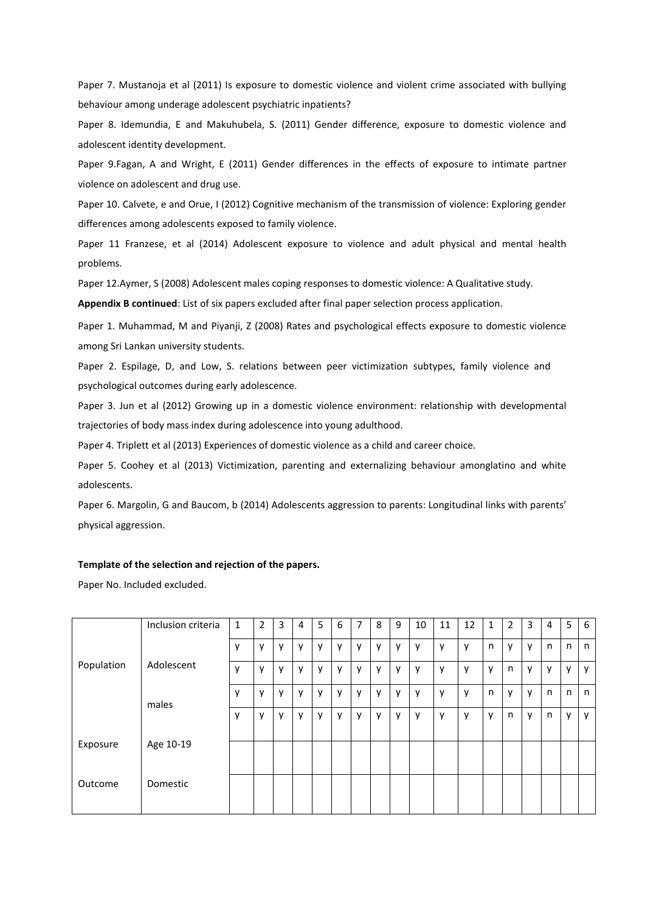Paper 7. Mustanoja et al (2011) Is exposure to domestic violence and violent crime associated with bullying behaviour among underage adolescent psychiatric inpatients?

Paper 8. Idemundia, E and Makuhubela, S. (2011) Gender difference, exposure to domestic violence and adolescent identity development.

Paper 9.Fagan, A and Wright, E (2011) Gender differences in the effects of exposure to intimate partner violence on adolescent and drug use.

Paper 10. Calvete, e and Orue, I (2012) Cognitive mechanism of the transmission of violence: Exploring gender differences among adolescents exposed to family violence.

Paper 11 Franzese, et al (2014) Adolescent exposure to violence and adult physical and mental health problems.

Paper 12.Aymer, S (2008) Adolescent males coping responses to domestic violence: A Qualitative study.

**Appendix B continued**: List of six papers excluded after final paper selection process application.

Paper 1. Muhammad, M and Piyanji, Z (2008) Rates and psychological effects exposure to domestic violence among Sri Lankan university students.

Paper 2. Espilage, D, and Low, S. relations between peer victimization subtypes, family violence and psychological outcomes during early adolescence.

Paper 3. Jun et al (2012) Growing up in a domestic violence environment: relationship with developmental trajectories of body mass index during adolescence into young adulthood.

Paper 4. Triplett et al (2013) Experiences of domestic violence as a child and career choice.

Paper 5. Coohey et al (2013) Victimization, parenting and externalizing behaviour amonglatino and white adolescents.

Paper 6. Margolin, G and Baucom, b (2014) Adolescents aggression to parents: Longitudinal links with parents' physical aggression.

#### **Template of the selection and rejection of the papers.**

Paper No. Included excluded.

|            | Inclusion criteria | 1 | 2           | 3 | 4 | 5 | 6 | 7 | 8 | 9 | 10 | 11 | 12 | 1 | $\overline{2}$ | 3 | 4 | 5 | 6 |
|------------|--------------------|---|-------------|---|---|---|---|---|---|---|----|----|----|---|----------------|---|---|---|---|
|            |                    |   | v           | у | y | y | y | y | у | y | у  | y  | y  | n | y              | y | n | n | n |
| Population | Adolescent         | y | y           | y | y | y | y | y | y | y | y  | y  | y  | y | n              | y | y | y | y |
|            | males              |   | $\mathbf v$ | у | y | y | y | y | у | y | y  | y  | y  | n | y              | y | n | n | n |
|            |                    |   | v           | y | y | y | y | y | y | y | y  | y  | y  | y | n              | y | n | y | y |
| Exposure   | Age 10-19          |   |             |   |   |   |   |   |   |   |    |    |    |   |                |   |   |   |   |
| Outcome    | Domestic           |   |             |   |   |   |   |   |   |   |    |    |    |   |                |   |   |   |   |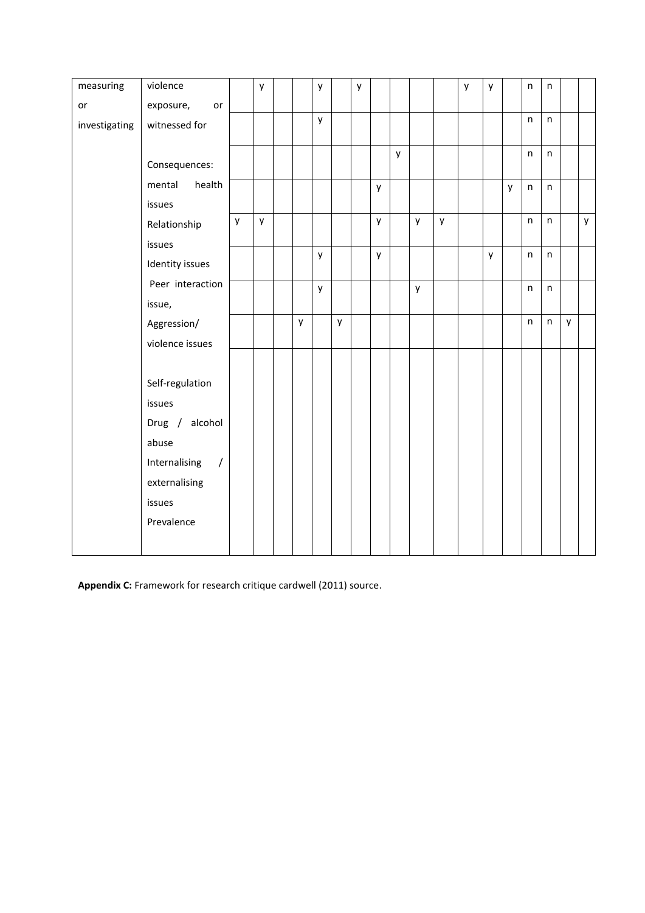| measuring     | violence                    |   | y |   | y |   | y |   |   |   |   | y | y |   | $\mathsf{n}$ | $\sf n$ |   |    |
|---------------|-----------------------------|---|---|---|---|---|---|---|---|---|---|---|---|---|--------------|---------|---|----|
| or            | exposure,<br>or             |   |   |   |   |   |   |   |   |   |   |   |   |   |              |         |   |    |
| investigating | witnessed for               |   |   |   | y |   |   |   |   |   |   |   |   |   | $\mathsf{n}$ | n       |   |    |
|               | Consequences:               |   |   |   |   |   |   |   | y |   |   |   |   |   | n            | n       |   |    |
|               | health<br>mental            |   |   |   |   |   |   | y |   |   |   |   |   | y | $\sf n$      | n       |   |    |
|               | issues                      | y | y |   |   |   |   | y |   | y | y |   |   |   | $\mathsf{n}$ | n       |   | y. |
|               | Relationship                |   |   |   |   |   |   |   |   |   |   |   |   |   |              |         |   |    |
|               | issues                      |   |   |   | y |   |   | y |   |   |   |   | y |   | $\mathsf{n}$ | n       |   |    |
|               | Identity issues             |   |   |   |   |   |   |   |   |   |   |   |   |   |              |         |   |    |
|               | Peer interaction            |   |   |   | y |   |   |   |   | y |   |   |   |   | $\sf n$      | n       |   |    |
|               | issue,                      |   |   |   |   |   |   |   |   |   |   |   |   |   |              |         |   |    |
|               | Aggression/                 |   |   | y |   | y |   |   |   |   |   |   |   |   | $\sf n$      | n       | y |    |
|               | violence issues             |   |   |   |   |   |   |   |   |   |   |   |   |   |              |         |   |    |
|               |                             |   |   |   |   |   |   |   |   |   |   |   |   |   |              |         |   |    |
|               | Self-regulation             |   |   |   |   |   |   |   |   |   |   |   |   |   |              |         |   |    |
|               | issues                      |   |   |   |   |   |   |   |   |   |   |   |   |   |              |         |   |    |
|               | Drug / alcohol              |   |   |   |   |   |   |   |   |   |   |   |   |   |              |         |   |    |
|               | abuse                       |   |   |   |   |   |   |   |   |   |   |   |   |   |              |         |   |    |
|               | Internalising<br>$\sqrt{ }$ |   |   |   |   |   |   |   |   |   |   |   |   |   |              |         |   |    |
|               | externalising               |   |   |   |   |   |   |   |   |   |   |   |   |   |              |         |   |    |
|               | issues                      |   |   |   |   |   |   |   |   |   |   |   |   |   |              |         |   |    |
|               | Prevalence                  |   |   |   |   |   |   |   |   |   |   |   |   |   |              |         |   |    |
|               |                             |   |   |   |   |   |   |   |   |   |   |   |   |   |              |         |   |    |

**Appendix C:** Framework for research critique cardwell (2011) source.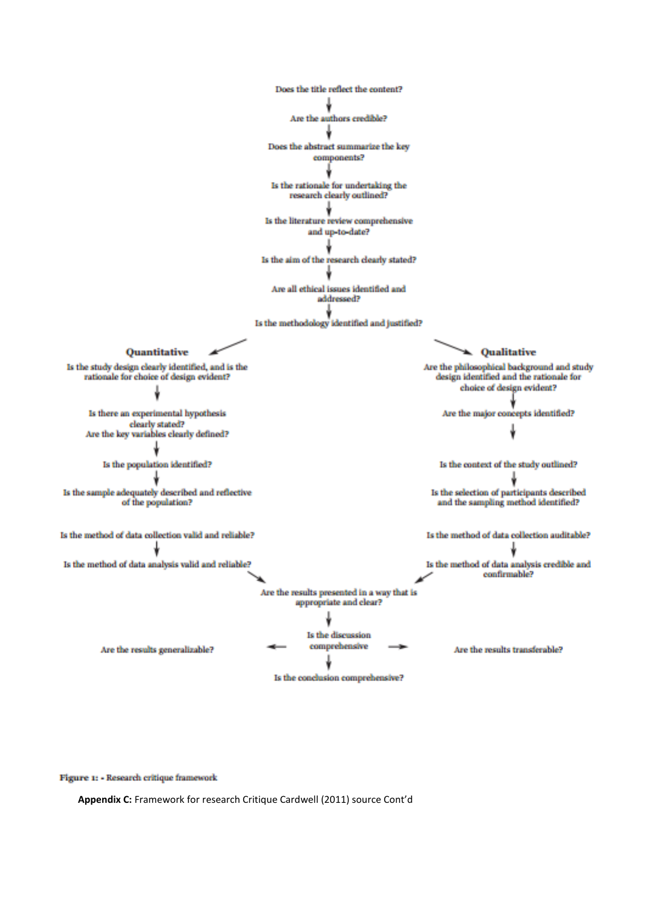

Figure 1: - Research critique framework

**Appendix C:** Framework for research Critique Cardwell (2011) source Cont'd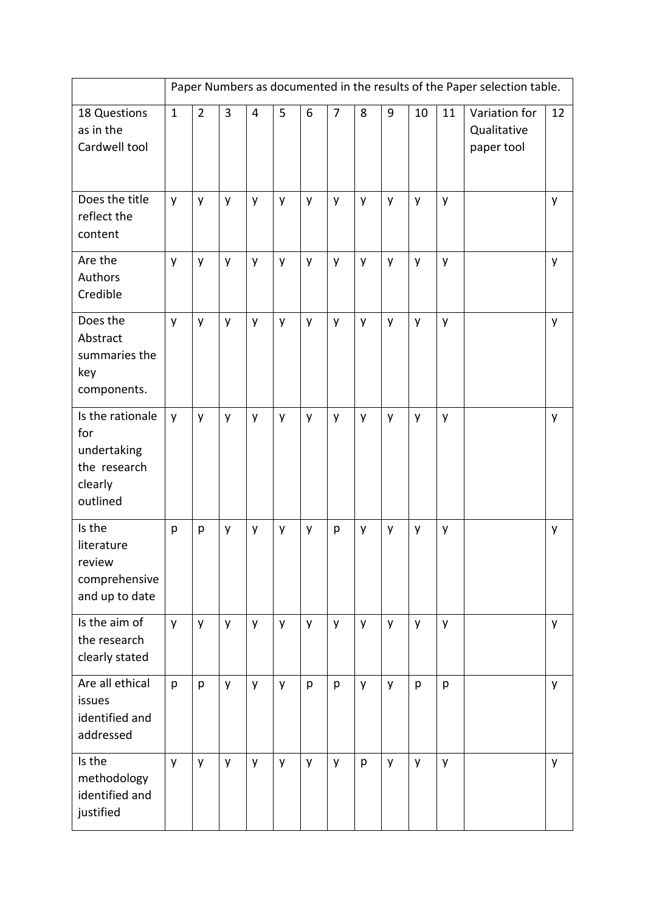|                                                                               |              |                |    |                |    |          |                |   |   |    |    | Paper Numbers as documented in the results of the Paper selection table. |    |
|-------------------------------------------------------------------------------|--------------|----------------|----|----------------|----|----------|----------------|---|---|----|----|--------------------------------------------------------------------------|----|
| 18 Questions<br>as in the<br>Cardwell tool                                    | $\mathbf{1}$ | $\overline{2}$ | 3  | $\overline{4}$ | 5  | 6        | $\overline{7}$ | 8 | 9 | 10 | 11 | Variation for<br>Qualitative<br>paper tool                               | 12 |
| Does the title<br>reflect the<br>content                                      | y            | y              | y  | y              | y  | y        | y              | y | y | y  | y  |                                                                          | y  |
| Are the<br>Authors<br>Credible                                                | y            | y              | y  | y              | y  | y        | y              | y | y | y  | y  |                                                                          | y  |
| Does the<br>Abstract<br>summaries the<br>key<br>components.                   | y            | y              | y  | y              | y  | y        | y              | y | y | y  | y  |                                                                          | y  |
| Is the rationale<br>for<br>undertaking<br>the research<br>clearly<br>outlined | y            | y              | y  | y              | y  | y        | y              | y | y | y  | y  |                                                                          | y  |
| Is the<br>literature<br>review<br>comprehensive<br>and up to date             | p            | р              | y  | y              | y  | y        | p              | y | y | y  | y  |                                                                          | y  |
| Is the aim of<br>the research<br>clearly stated                               | y            | y              | y. | y              | y. | <b>y</b> | y              | y | y | y  | y  |                                                                          | y  |
| Are all ethical<br>issues<br>identified and<br>addressed                      | p            | p              | y  | y              | y  | p        | p              | y | y | p  | p  |                                                                          | y  |
| Is the<br>methodology<br>identified and<br>justified                          | y            | y              | y  | y              | y  | y        | y              | p | y | y  | y  |                                                                          | y  |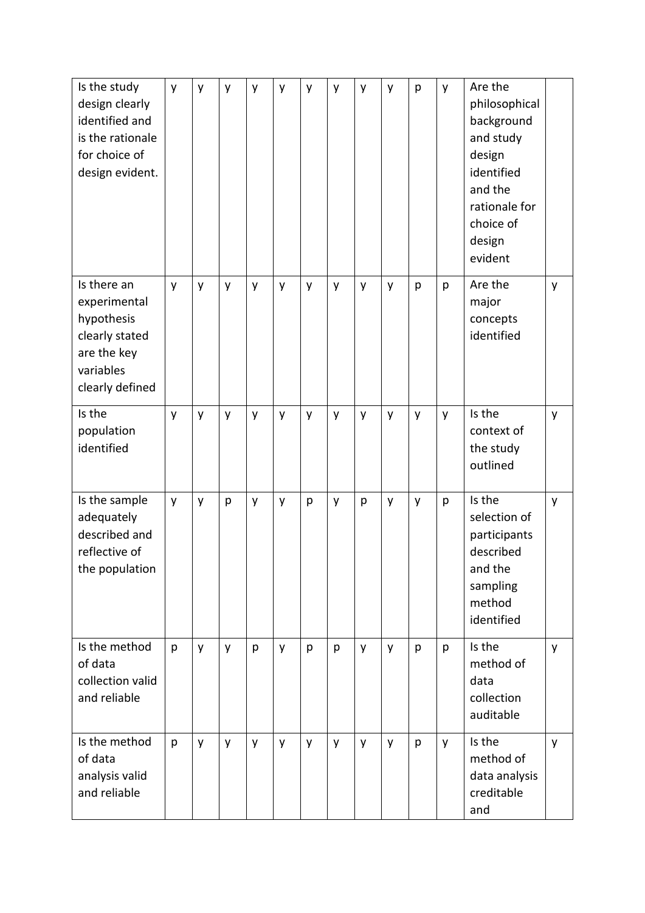| Is the study<br>design clearly<br>identified and<br>is the rationale<br>for choice of<br>design evident.   | y | y | y | y | y  | y | y  | y | y | p | y | Are the<br>philosophical<br>background<br>and study<br>design<br>identified<br>and the<br>rationale for<br>choice of<br>design<br>evident |   |
|------------------------------------------------------------------------------------------------------------|---|---|---|---|----|---|----|---|---|---|---|-------------------------------------------------------------------------------------------------------------------------------------------|---|
| Is there an<br>experimental<br>hypothesis<br>clearly stated<br>are the key<br>variables<br>clearly defined | y | y | y | y | y  | y | y  | y | y | p | p | Are the<br>major<br>concepts<br>identified                                                                                                | y |
| Is the<br>population<br>identified                                                                         | y | y | y | y | y  | y | y  | y | y | y | y | Is the<br>context of<br>the study<br>outlined                                                                                             | y |
| Is the sample<br>adequately<br>described and<br>reflective of<br>the population                            | y | y | р | y | y  | p | y  | р | y | y | p | Is the<br>selection of<br>participants<br>described<br>and the<br>sampling<br>method<br>identified                                        | y |
| Is the method<br>of data<br>collection valid<br>and reliable                                               | p | y | y | p | y  | p | p  | y | y | p | p | Is the<br>method of<br>data<br>collection<br>auditable                                                                                    | y |
| Is the method<br>of data<br>analysis valid<br>and reliable                                                 | p | y | y | y | y. | y | y. | y | y | p | y | Is the<br>method of<br>data analysis<br>creditable<br>and                                                                                 | y |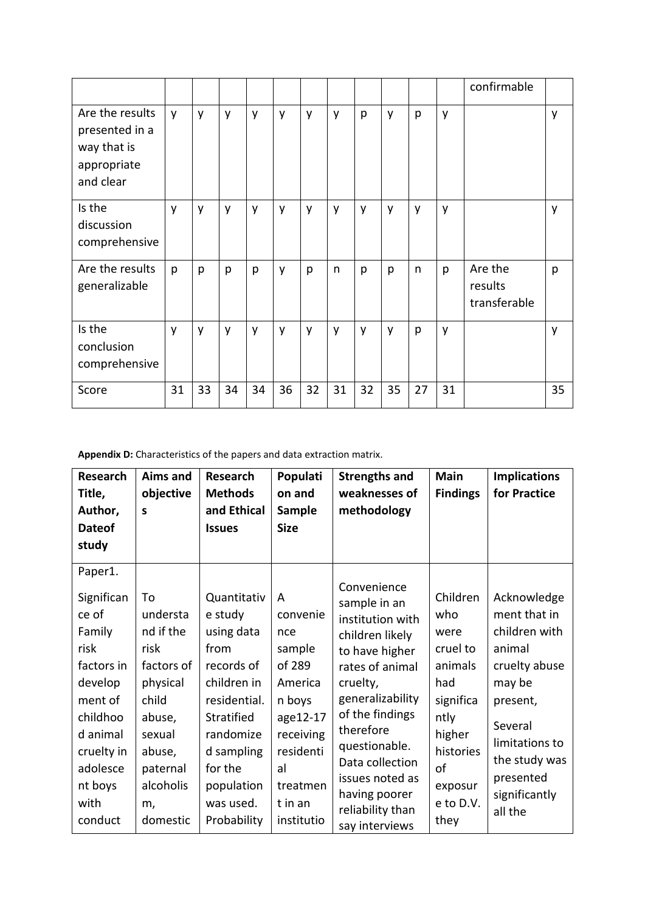|                                                                              |              |    |    |    |    |    |    |    |    |    |    | confirmable                        |    |
|------------------------------------------------------------------------------|--------------|----|----|----|----|----|----|----|----|----|----|------------------------------------|----|
| Are the results<br>presented in a<br>way that is<br>appropriate<br>and clear | $\mathsf{V}$ | y  | y  | y  | y  | y  | y  | p  | y  | р  | y  |                                    | y  |
| Is the<br>discussion<br>comprehensive                                        | $\mathsf{V}$ | y  | y  | y  | y  | y  | y  | y  | y  | y  | y  |                                    | y  |
| Are the results<br>generalizable                                             | p            | p  | p  | р  | y  | p  | n  | p  | p  | n  | p  | Are the<br>results<br>transferable | р  |
| Is the<br>conclusion<br>comprehensive                                        | y            | y  | y  | y  | y  | y  | y  | y  | y  | p  | y  |                                    | y  |
| Score                                                                        | 31           | 33 | 34 | 34 | 36 | 32 | 31 | 32 | 35 | 27 | 31 |                                    | 35 |

**Appendix D:** Characteristics of the papers and data extraction matrix.

| <b>Research</b><br>Title,<br>Author,<br><b>Dateof</b><br>study                                                                                            | <b>Aims and</b><br>objective<br>S                                                                                                   | <b>Research</b><br><b>Methods</b><br>and Ethical<br><b>Issues</b>                                                                                                        | Populati<br>on and<br><b>Sample</b><br><b>Size</b>                                                                               | <b>Strengths and</b><br>weaknesses of<br>methodology                                                                                                                                                                                                                | <b>Main</b><br><b>Findings</b>                                                                                                  | <b>Implications</b><br>for Practice                                                                                                                                                  |
|-----------------------------------------------------------------------------------------------------------------------------------------------------------|-------------------------------------------------------------------------------------------------------------------------------------|--------------------------------------------------------------------------------------------------------------------------------------------------------------------------|----------------------------------------------------------------------------------------------------------------------------------|---------------------------------------------------------------------------------------------------------------------------------------------------------------------------------------------------------------------------------------------------------------------|---------------------------------------------------------------------------------------------------------------------------------|--------------------------------------------------------------------------------------------------------------------------------------------------------------------------------------|
| Paper1.<br>Significan<br>ce of<br>Family<br>risk<br>factors in<br>develop<br>ment of<br>childhoo<br>d animal<br>cruelty in<br>adolesce<br>nt boys<br>with | To<br>understa<br>nd if the<br>risk<br>factors of<br>physical<br>child<br>abuse,<br>sexual<br>abuse,<br>paternal<br>alcoholis<br>m, | Quantitativ<br>e study<br>using data<br>from<br>records of<br>children in<br>residential.<br>Stratified<br>randomize<br>d sampling<br>for the<br>population<br>was used. | A<br>convenie<br>nce<br>sample<br>of 289<br>America<br>n boys<br>age12-17<br>receiving<br>residenti<br>al<br>treatmen<br>t in an | Convenience<br>sample in an<br>institution with<br>children likely<br>to have higher<br>rates of animal<br>cruelty,<br>generalizability<br>of the findings<br>therefore<br>questionable.<br>Data collection<br>issues noted as<br>having poorer<br>reliability than | Children<br>who<br>were<br>cruel to<br>animals<br>had<br>significa<br>ntly<br>higher<br>histories<br>of<br>exposur<br>e to D.V. | Acknowledge<br>ment that in<br>children with<br>animal<br>cruelty abuse<br>may be<br>present,<br>Several<br>limitations to<br>the study was<br>presented<br>significantly<br>all the |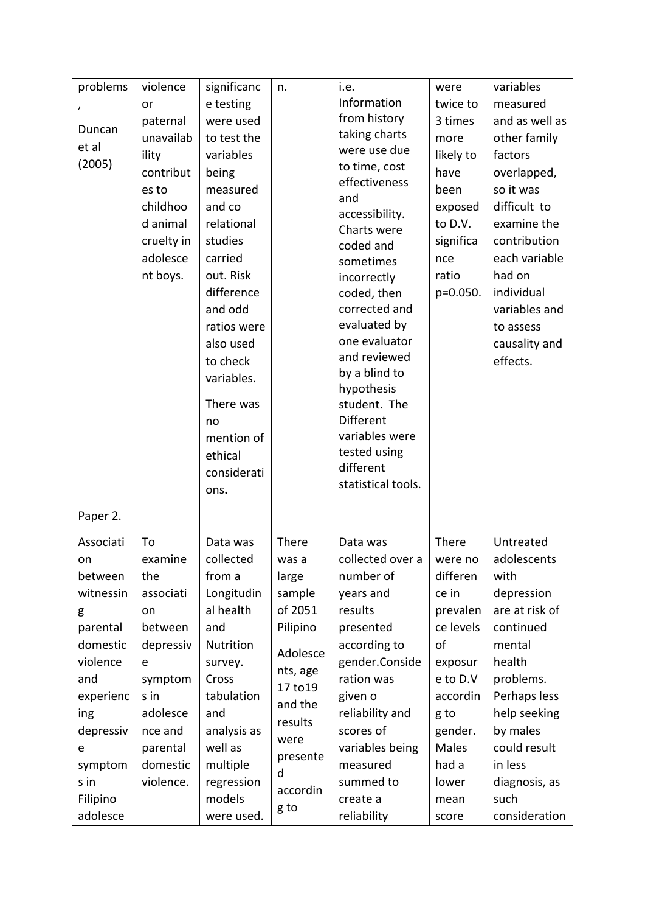| problems  | violence   | significanc | n.                   | i.e.                       | were      | variables      |
|-----------|------------|-------------|----------------------|----------------------------|-----------|----------------|
|           | or         | e testing   |                      | Information                | twice to  | measured       |
|           | paternal   | were used   |                      | from history               | 3 times   | and as well as |
| Duncan    | unavailab  | to test the |                      | taking charts              | more      | other family   |
| et al     | ility      | variables   |                      | were use due               | likely to | factors        |
| (2005)    | contribut  | being       |                      | to time, cost              | have      | overlapped,    |
|           | es to      | measured    |                      | effectiveness<br>and       | been      | so it was      |
|           | childhoo   | and co      |                      | accessibility.             | exposed   | difficult to   |
|           | d animal   | relational  |                      | Charts were                | to D.V.   | examine the    |
|           | cruelty in | studies     |                      | coded and                  | significa | contribution   |
|           | adolesce   | carried     |                      | sometimes                  | nce       | each variable  |
|           | nt boys.   | out. Risk   |                      | incorrectly                | ratio     | had on         |
|           |            | difference  |                      | coded, then                | p=0.050.  | individual     |
|           |            | and odd     |                      | corrected and              |           | variables and  |
|           |            | ratios were |                      | evaluated by               |           | to assess      |
|           |            | also used   |                      | one evaluator              |           | causality and  |
|           |            | to check    |                      | and reviewed               |           | effects.       |
|           |            | variables.  |                      | by a blind to              |           |                |
|           |            | There was   |                      | hypothesis<br>student. The |           |                |
|           |            | no          |                      | <b>Different</b>           |           |                |
|           |            | mention of  |                      | variables were             |           |                |
|           |            | ethical     |                      | tested using               |           |                |
|           |            | considerati |                      | different                  |           |                |
|           |            | ons.        |                      | statistical tools.         |           |                |
|           |            |             |                      |                            |           |                |
| Paper 2.  |            |             |                      |                            |           |                |
| Associati | To         | Data was    | There                | Data was                   | There     | Untreated      |
| on        | examine    | collected   | was a                | collected over a           | were no   | adolescents    |
| between   | the        | from a      | large                | number of                  | differen  | with           |
| witnessin | associati  | Longitudin  | sample               | years and                  | ce in     | depression     |
| g         | on         | al health   | of 2051              | results                    | prevalen  | are at risk of |
| parental  | between    | and         | Pilipino             | presented                  | ce levels | continued      |
| domestic  | depressiv  | Nutrition   | Adolesce             | according to               | of        | mental         |
| violence  | e          | survey.     |                      | gender.Conside             | exposur   | health         |
| and       | symptom    | Cross       | nts, age<br>17 to 19 | ration was                 | e to D.V  | problems.      |
| experienc | s in       | tabulation  | and the              | given o                    | accordin  | Perhaps less   |
| ing       | adolesce   | and         | results              | reliability and            | g to      | help seeking   |
| depressiv | nce and    | analysis as | were                 | scores of                  | gender.   | by males       |
| e         | parental   | well as     | presente             | variables being            | Males     | could result   |
| symptom   | domestic   | multiple    | d                    | measured                   | had a     | in less        |
| s in      | violence.  | regression  | accordin             | summed to                  | lower     | diagnosis, as  |
| Filipino  |            | models      | g to                 | create a                   | mean      | such           |
| adolesce  |            | were used.  |                      | reliability                | score     | consideration  |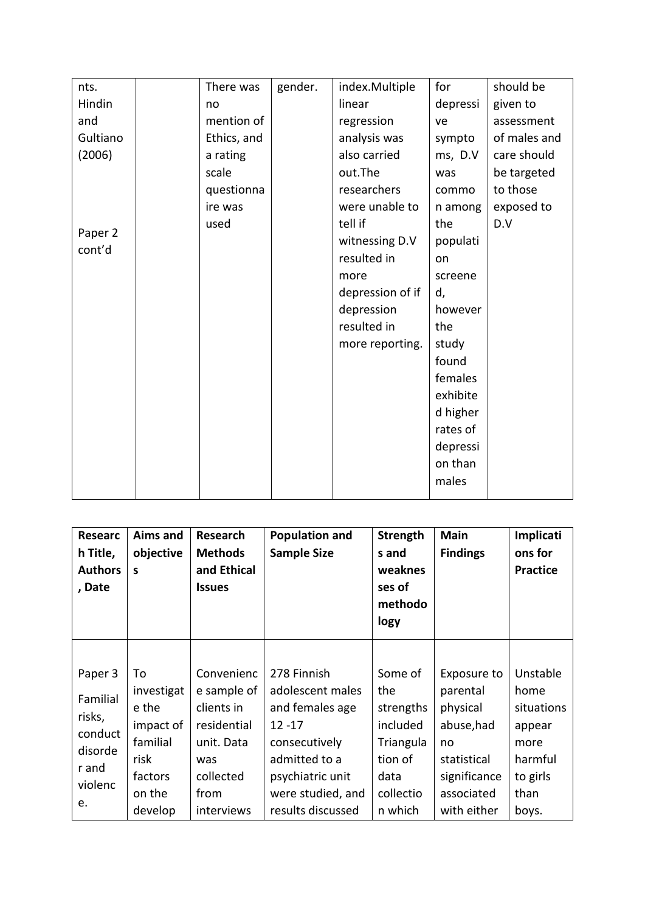| nts.              | There was   | gender. | index.Multiple   | for      | should be    |
|-------------------|-------------|---------|------------------|----------|--------------|
| Hindin            | no          |         | linear           | depressi | given to     |
| and               | mention of  |         | regression       | ve       | assessment   |
| Gultiano          | Ethics, and |         | analysis was     | sympto   | of males and |
| (2006)            | a rating    |         | also carried     | ms, D.V  | care should  |
|                   | scale       |         | out.The          | was      | be targeted  |
|                   | questionna  |         | researchers      | commo    | to those     |
|                   | ire was     |         | were unable to   | n among  | exposed to   |
|                   | used        |         | tell if          | the      | D.V          |
| Paper 2<br>cont'd |             |         | witnessing D.V   | populati |              |
|                   |             |         | resulted in      | on       |              |
|                   |             |         | more             | screene  |              |
|                   |             |         | depression of if | d,       |              |
|                   |             |         | depression       | however  |              |
|                   |             |         | resulted in      | the      |              |
|                   |             |         | more reporting.  | study    |              |
|                   |             |         |                  | found    |              |
|                   |             |         |                  | females  |              |
|                   |             |         |                  | exhibite |              |
|                   |             |         |                  | d higher |              |
|                   |             |         |                  | rates of |              |
|                   |             |         |                  | depressi |              |
|                   |             |         |                  | on than  |              |
|                   |             |         |                  | males    |              |
|                   |             |         |                  |          |              |

| <b>Researc</b><br>h Title,<br><b>Authors</b><br>, Date | <b>Aims and</b><br>objective<br>S | Research<br><b>Methods</b><br>and Ethical<br><b>Issues</b> | <b>Population and</b><br><b>Sample Size</b> | Strength<br>s and<br>weaknes<br>ses of<br>methodo<br>logy | <b>Main</b><br><b>Findings</b> | Implicati<br>ons for<br><b>Practice</b> |
|--------------------------------------------------------|-----------------------------------|------------------------------------------------------------|---------------------------------------------|-----------------------------------------------------------|--------------------------------|-----------------------------------------|
| Paper 3                                                | To                                | Convenienc                                                 | 278 Finnish                                 | Some of                                                   | Exposure to                    | Unstable                                |
| Familial                                               | investigat                        | e sample of                                                | adolescent males                            | the                                                       | parental                       | home                                    |
| risks,                                                 | e the                             | clients in                                                 | and females age                             | strengths                                                 | physical                       | situations                              |
| conduct                                                | impact of                         | residential                                                | $12 - 17$                                   | included                                                  | abuse, had                     | appear                                  |
| disorde                                                | familial                          | unit. Data                                                 | consecutively                               | Triangula                                                 | no                             | more                                    |
| r and                                                  | risk                              | was                                                        | admitted to a                               | tion of                                                   | statistical                    | harmful                                 |
| violenc                                                | factors                           | collected                                                  | psychiatric unit                            | data                                                      | significance                   | to girls                                |
| e.                                                     | on the                            | from                                                       | were studied, and                           | collectio                                                 | associated                     | than                                    |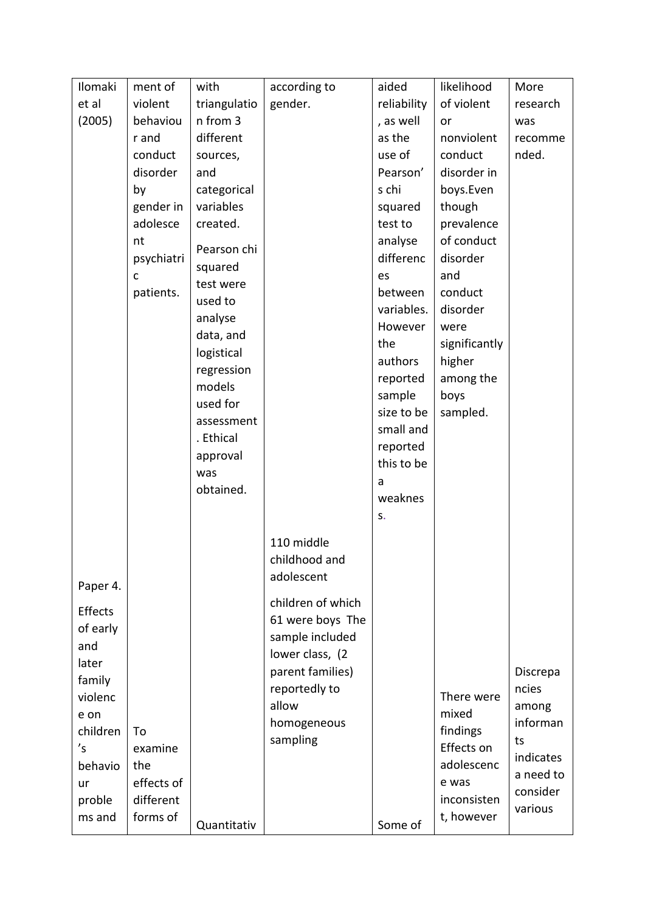| Ilomaki  | ment of      | with         | according to      | aided                | likelihood    | More      |
|----------|--------------|--------------|-------------------|----------------------|---------------|-----------|
| et al    | violent      | triangulatio | gender.           | reliability          | of violent    | research  |
| (2005)   | behaviou     | n from 3     |                   | , as well            | <b>or</b>     | was       |
|          | r and        | different    |                   | as the               | nonviolent    | recomme   |
|          | conduct      | sources,     |                   | use of               | conduct       | nded.     |
|          | disorder     | and          |                   | Pearson'             | disorder in   |           |
|          | by           | categorical  |                   | s chi                | boys.Even     |           |
|          | gender in    | variables    |                   | squared              | though        |           |
|          | adolesce     | created.     |                   | test to              | prevalence    |           |
|          | nt           | Pearson chi  |                   | analyse              | of conduct    |           |
|          | psychiatri   | squared      |                   | differenc            | disorder      |           |
|          | $\mathsf{C}$ | test were    |                   | es                   | and           |           |
|          | patients.    | used to      |                   | between              | conduct       |           |
|          |              | analyse      |                   | variables.           | disorder      |           |
|          |              | data, and    |                   | However              | were          |           |
|          |              | logistical   |                   | the                  | significantly |           |
|          |              | regression   |                   | authors              | higher        |           |
|          |              | models       |                   | reported             | among the     |           |
|          |              | used for     |                   | sample<br>size to be | boys          |           |
|          |              | assessment   |                   | small and            | sampled.      |           |
|          |              | . Ethical    |                   | reported             |               |           |
|          |              | approval     |                   | this to be           |               |           |
|          |              | was          |                   | a                    |               |           |
|          |              | obtained.    |                   | weaknes              |               |           |
|          |              |              |                   | S.                   |               |           |
|          |              |              |                   |                      |               |           |
|          |              |              | 110 middle        |                      |               |           |
|          |              |              | childhood and     |                      |               |           |
| Paper 4. |              |              | adolescent        |                      |               |           |
|          |              |              | children of which |                      |               |           |
| Effects  |              |              | 61 were boys The  |                      |               |           |
| of early |              |              | sample included   |                      |               |           |
| and      |              |              | lower class, (2   |                      |               |           |
| later    |              |              | parent families)  |                      |               | Discrepa  |
| family   |              |              | reportedly to     |                      |               | ncies     |
| violenc  |              |              | allow             |                      | There were    | among     |
| e on     |              |              | homogeneous       |                      | mixed         | informan  |
| children | To           |              | sampling          |                      | findings      | ts        |
| 's       | examine      |              |                   |                      | Effects on    | indicates |
| behavio  | the          |              |                   |                      | adolescenc    | a need to |
| ur       | effects of   |              |                   |                      | e was         | consider  |
| proble   | different    |              |                   |                      | inconsisten   | various   |
| ms and   | forms of     | Quantitativ  |                   | Some of              | t, however    |           |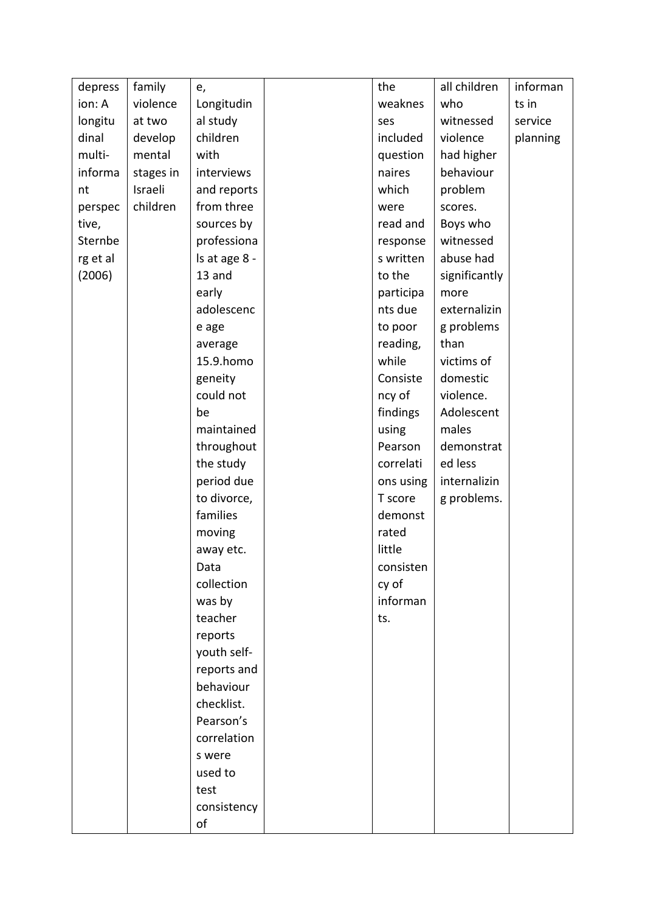| depress  | family    | e,            | the       | all children  | informan |
|----------|-----------|---------------|-----------|---------------|----------|
| ion: A   | violence  | Longitudin    | weaknes   | who           | ts in    |
| longitu  | at two    | al study      | ses       | witnessed     | service  |
| dinal    | develop   | children      | included  | violence      | planning |
| multi-   | mental    | with          | question  | had higher    |          |
| informa  | stages in | interviews    | naires    | behaviour     |          |
| nt       | Israeli   | and reports   | which     | problem       |          |
| perspec  | children  | from three    | were      | scores.       |          |
| tive,    |           | sources by    | read and  | Boys who      |          |
| Sternbe  |           | professiona   | response  | witnessed     |          |
| rg et al |           | Is at age 8 - | s written | abuse had     |          |
| (2006)   |           | 13 and        | to the    | significantly |          |
|          |           | early         | participa | more          |          |
|          |           | adolescenc    | nts due   | externalizin  |          |
|          |           | e age         | to poor   | g problems    |          |
|          |           | average       | reading,  | than          |          |
|          |           | 15.9.homo     | while     | victims of    |          |
|          |           | geneity       | Consiste  | domestic      |          |
|          |           | could not     | ncy of    | violence.     |          |
|          |           | be            | findings  | Adolescent    |          |
|          |           | maintained    | using     | males         |          |
|          |           | throughout    | Pearson   | demonstrat    |          |
|          |           | the study     | correlati | ed less       |          |
|          |           | period due    | ons using | internalizin  |          |
|          |           | to divorce,   | T score   | g problems.   |          |
|          |           | families      | demonst   |               |          |
|          |           | moving        | rated     |               |          |
|          |           | away etc.     | little    |               |          |
|          |           | Data          | consisten |               |          |
|          |           | collection    | cy of     |               |          |
|          |           | was by        | informan  |               |          |
|          |           | teacher       | ts.       |               |          |
|          |           | reports       |           |               |          |
|          |           | youth self-   |           |               |          |
|          |           | reports and   |           |               |          |
|          |           | behaviour     |           |               |          |
|          |           | checklist.    |           |               |          |
|          |           | Pearson's     |           |               |          |
|          |           | correlation   |           |               |          |
|          |           | s were        |           |               |          |
|          |           | used to       |           |               |          |
|          |           | test          |           |               |          |
|          |           | consistency   |           |               |          |
|          |           | of            |           |               |          |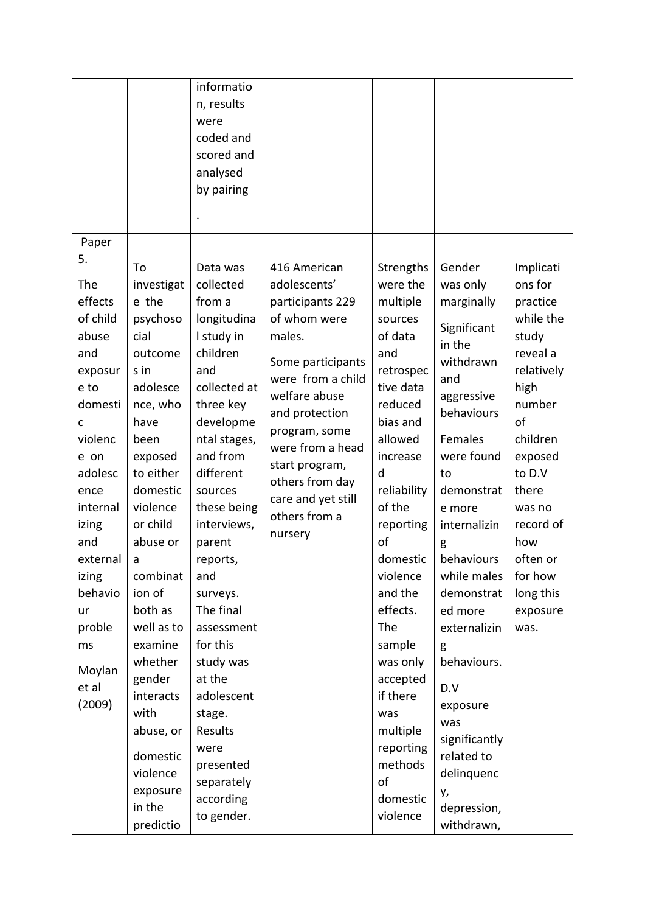| scored and<br>analysed<br>by pairing                                                                                                                                                                                                                                                                                                                                                                                                                                                                                                                                                                                                                                                                                                                                                                                                                                                                                                                                                                                                          |                                                                                                                                                                                                                                                                                     |                                                                                                                                                                                                                                                                                                                                                                      |                                                                                                                                                                                                                                                                                                                                                                                           |                                                                                                                                                                                                                                          |
|-----------------------------------------------------------------------------------------------------------------------------------------------------------------------------------------------------------------------------------------------------------------------------------------------------------------------------------------------------------------------------------------------------------------------------------------------------------------------------------------------------------------------------------------------------------------------------------------------------------------------------------------------------------------------------------------------------------------------------------------------------------------------------------------------------------------------------------------------------------------------------------------------------------------------------------------------------------------------------------------------------------------------------------------------|-------------------------------------------------------------------------------------------------------------------------------------------------------------------------------------------------------------------------------------------------------------------------------------|----------------------------------------------------------------------------------------------------------------------------------------------------------------------------------------------------------------------------------------------------------------------------------------------------------------------------------------------------------------------|-------------------------------------------------------------------------------------------------------------------------------------------------------------------------------------------------------------------------------------------------------------------------------------------------------------------------------------------------------------------------------------------|------------------------------------------------------------------------------------------------------------------------------------------------------------------------------------------------------------------------------------------|
| Paper<br>5.<br>To<br>Data was<br>collected<br>The<br>investigat<br>effects<br>e the<br>from a<br>of child<br>psychoso<br>longitudina<br>I study in<br>abuse<br>cial<br>children<br>and<br>outcome<br>s in<br>and<br>exposur<br>collected at<br>e to<br>adolesce<br>three key<br>domesti<br>nce, who<br>developme<br>have<br>C<br>ntal stages,<br>violenc<br>been<br>and from<br>exposed<br>e on<br>to either<br>different<br>adolesc<br>domestic<br>ence<br>sources<br>violence<br>these being<br>internal<br>or child<br>interviews,<br>izing<br>and<br>abuse or<br>parent<br>external<br>reports,<br>a<br>izing<br>combinat<br>and<br>behavio<br>ion of<br>surveys.<br>The final<br>both as<br>ur<br>proble<br>well as to<br>assessment<br>for this<br>examine<br>ms<br>whether<br>study was<br>Moylan<br>gender<br>at the<br>et al<br>interacts<br>adolescent<br>(2009)<br>with<br>stage.<br>Results<br>abuse, or<br>were<br>domestic<br>presented<br>violence<br>separately<br>exposure<br>according<br>in the<br>to gender.<br>predictio | 416 American<br>adolescents'<br>participants 229<br>of whom were<br>males.<br>Some participants<br>were from a child<br>welfare abuse<br>and protection<br>program, some<br>were from a head<br>start program,<br>others from day<br>care and yet still<br>others from a<br>nursery | Strengths<br>were the<br>multiple<br>sources<br>of data<br>and<br>retrospec<br>tive data<br>reduced<br>bias and<br>allowed<br>increase<br>d<br>reliability<br>of the<br>reporting<br>of<br>domestic<br>violence<br>and the<br>effects.<br>The<br>sample<br>was only<br>accepted<br>if there<br>was<br>multiple<br>reporting<br>methods<br>of<br>domestic<br>violence | Gender<br>was only<br>marginally<br>Significant<br>in the<br>withdrawn<br>and<br>aggressive<br>behaviours<br>Females<br>were found<br>to<br>demonstrat<br>e more<br>internalizin<br>g<br>behaviours<br>while males<br>demonstrat<br>ed more<br>externalizin<br>g<br>behaviours.<br>D.V<br>exposure<br>was<br>significantly<br>related to<br>delinquenc<br>у,<br>depression,<br>withdrawn, | Implicati<br>ons for<br>practice<br>while the<br>study<br>reveal a<br>relatively<br>high<br>number<br>of<br>children<br>exposed<br>to D.V<br>there<br>was no<br>record of<br>how<br>often or<br>for how<br>long this<br>exposure<br>was. |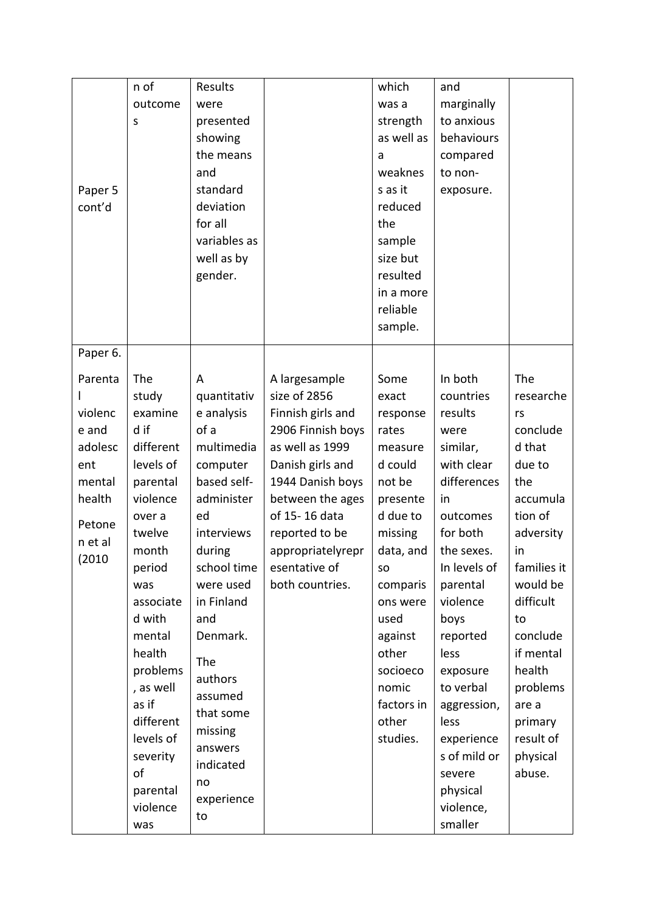|          | n of      | Results          |                   | which      | and          |             |
|----------|-----------|------------------|-------------------|------------|--------------|-------------|
|          | outcome   | were             |                   | was a      | marginally   |             |
|          | S         | presented        |                   | strength   | to anxious   |             |
|          |           | showing          |                   | as well as | behaviours   |             |
|          |           | the means        |                   | a          | compared     |             |
|          |           | and              |                   | weaknes    | to non-      |             |
| Paper 5  |           | standard         |                   | s as it    | exposure.    |             |
| cont'd   |           | deviation        |                   | reduced    |              |             |
|          |           | for all          |                   | the        |              |             |
|          |           | variables as     |                   | sample     |              |             |
|          |           | well as by       |                   | size but   |              |             |
|          |           | gender.          |                   | resulted   |              |             |
|          |           |                  |                   | in a more  |              |             |
|          |           |                  |                   | reliable   |              |             |
|          |           |                  |                   | sample.    |              |             |
| Paper 6. |           |                  |                   |            |              |             |
| Parenta  | The       | A                | A largesample     | Some       | In both      | The         |
|          | study     | quantitativ      | size of 2856      | exact      | countries    | researche   |
| violenc  | examine   | e analysis       | Finnish girls and | response   | results      | rs          |
| e and    | d if      | of a             | 2906 Finnish boys | rates      | were         | conclude    |
| adolesc  | different | multimedia       | as well as 1999   | measure    | similar,     | d that      |
| ent      | levels of | computer         | Danish girls and  | d could    | with clear   | due to      |
| mental   | parental  | based self-      | 1944 Danish boys  | not be     | differences  | the         |
| health   | violence  | administer       | between the ages  | presente   | in           | accumula    |
|          | over a    | ed               | of 15-16 data     | d due to   | outcomes     | tion of     |
| Petone   | twelve    | interviews       | reported to be    | missing    | for both     | adversity   |
| n et al  | month     | during           | appropriatelyrepr | data, and  | the sexes.   | in          |
| (2010    | period    | school time      | esentative of     | <b>SO</b>  | In levels of | families it |
|          | was       | were used        | both countries.   | comparis   | parental     | would be    |
|          | associate | in Finland       |                   | ons were   | violence     | difficult   |
|          | d with    | and              |                   | used       | boys         | to          |
|          | mental    | Denmark.         |                   | against    | reported     | conclude    |
|          | health    |                  |                   | other      | less         | if mental   |
|          | problems  | The              |                   | socioeco   | exposure     | health      |
|          | , as well | authors          |                   | nomic      | to verbal    | problems    |
|          | as if     | assumed          |                   | factors in | aggression,  | are a       |
|          | different | that some        |                   | other      | less         | primary     |
|          | levels of | missing          |                   | studies.   | experience   | result of   |
|          | severity  | answers          |                   |            | s of mild or | physical    |
|          | of        | indicated        |                   |            | severe       | abuse.      |
|          | parental  | no<br>experience |                   |            | physical     |             |
|          | violence  | to               |                   |            | violence,    |             |
|          | was       |                  |                   |            | smaller      |             |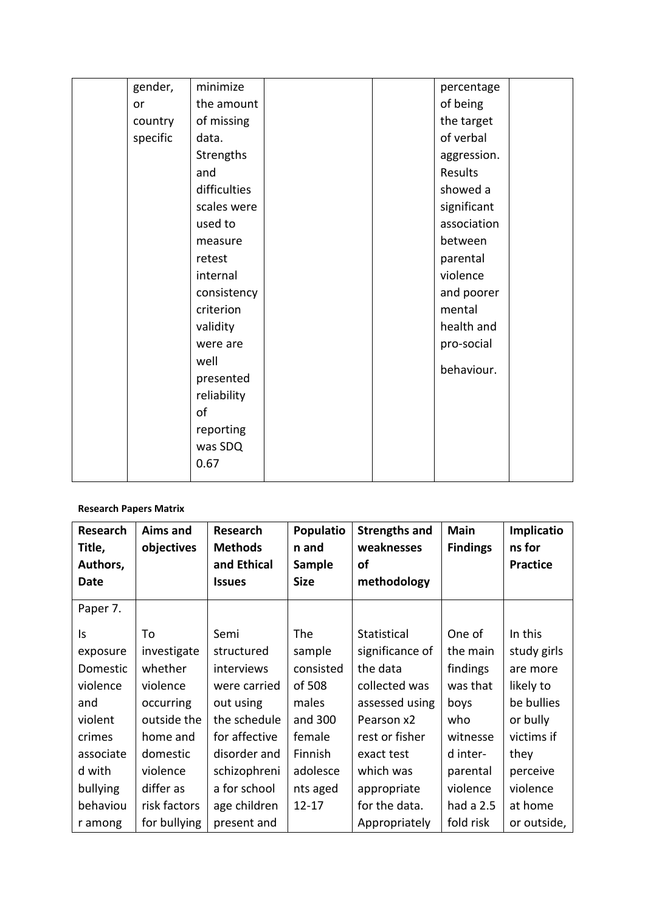| gender,   | minimize     |  | percentage  |  |
|-----------|--------------|--|-------------|--|
| <b>or</b> | the amount   |  | of being    |  |
| country   | of missing   |  | the target  |  |
| specific  | data.        |  | of verbal   |  |
|           | Strengths    |  | aggression. |  |
|           | and          |  | Results     |  |
|           | difficulties |  | showed a    |  |
|           | scales were  |  | significant |  |
|           | used to      |  | association |  |
|           | measure      |  | between     |  |
|           | retest       |  | parental    |  |
|           | internal     |  | violence    |  |
|           | consistency  |  | and poorer  |  |
|           | criterion    |  | mental      |  |
|           | validity     |  | health and  |  |
|           | were are     |  | pro-social  |  |
|           | well         |  | behaviour.  |  |
|           | presented    |  |             |  |
|           | reliability  |  |             |  |
|           | of           |  |             |  |
|           | reporting    |  |             |  |
|           | was SDQ      |  |             |  |
|           | 0.67         |  |             |  |
|           |              |  |             |  |

### **Research Papers Matrix**

| <b>Research</b> | <b>Aims and</b> | Research       | Populatio     | <b>Strengths and</b> | <b>Main</b>     | Implicatio      |
|-----------------|-----------------|----------------|---------------|----------------------|-----------------|-----------------|
| Title,          | objectives      | <b>Methods</b> | n and         | weaknesses           | <b>Findings</b> | ns for          |
| Authors,        |                 | and Ethical    | <b>Sample</b> | <b>of</b>            |                 | <b>Practice</b> |
| Date            |                 | <b>Issues</b>  | <b>Size</b>   | methodology          |                 |                 |
| Paper 7.        |                 |                |               |                      |                 |                 |
| ls.             | To              | Semi           | The           | Statistical          | One of          | In this         |
| exposure        | investigate     | structured     | sample        | significance of      | the main        | study girls     |
| Domestic        | whether         | interviews     | consisted     | the data             | findings        | are more        |
| violence        | violence        | were carried   | of 508        | collected was        | was that        | likely to       |
| and             | occurring       | out using      | males         | assessed using       | boys            | be bullies      |
| violent         | outside the     | the schedule   | and 300       | Pearson x2           | who             | or bully        |
| crimes          | home and        | for affective  | female        | rest or fisher       | witnesse        | victims if      |
| associate       | domestic        | disorder and   | Finnish       | exact test           | d inter-        | they            |
| d with          | violence        | schizophreni   | adolesce      | which was            | parental        | perceive        |
| bullying        | differ as       | a for school   | nts aged      | appropriate          | violence        | violence        |
| behaviou        | risk factors    | age children   | $12 - 17$     | for the data.        | had a 2.5       | at home         |
| r among         | for bullying    | present and    |               | Appropriately        | fold risk       | or outside,     |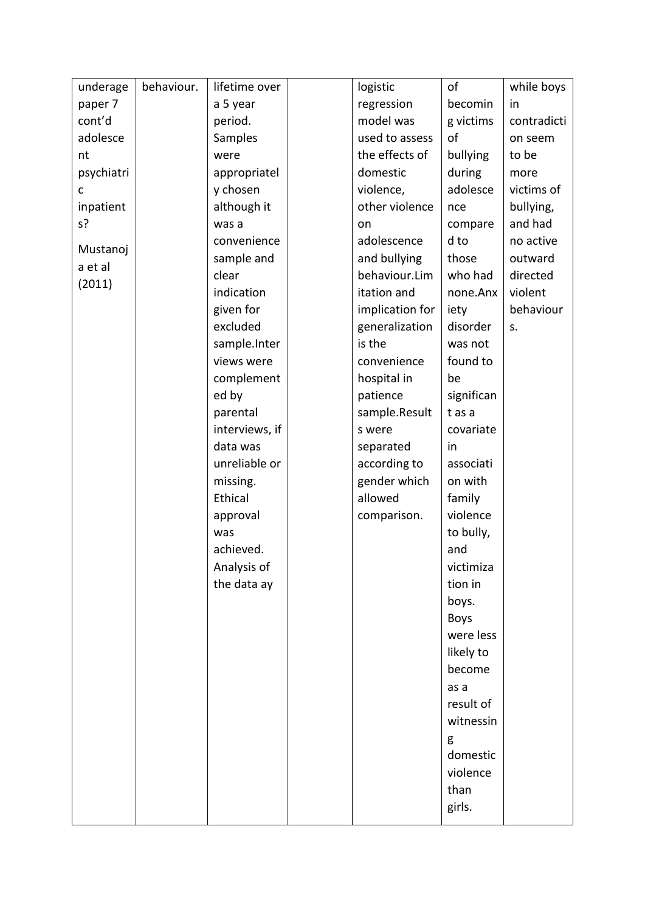| underage     | behaviour. | lifetime over  | logistic        | of          | while boys  |
|--------------|------------|----------------|-----------------|-------------|-------------|
| paper 7      |            | a 5 year       | regression      | becomin     | in          |
| cont'd       |            | period.        | model was       | g victims   | contradicti |
| adolesce     |            | Samples        | used to assess  | of          | on seem     |
| nt           |            | were           | the effects of  | bullying    | to be       |
| psychiatri   |            | appropriatel   | domestic        | during      | more        |
| $\mathsf{C}$ |            | y chosen       | violence,       | adolesce    | victims of  |
| inpatient    |            | although it    | other violence  | nce         | bullying,   |
| s?           |            | was a          | on              | compare     | and had     |
| Mustanoj     |            | convenience    | adolescence     | d to        | no active   |
| a et al      |            | sample and     | and bullying    | those       | outward     |
| (2011)       |            | clear          | behaviour.Lim   | who had     | directed    |
|              |            | indication     | itation and     | none.Anx    | violent     |
|              |            | given for      | implication for | iety        | behaviour   |
|              |            | excluded       | generalization  | disorder    | S.          |
|              |            | sample.Inter   | is the          | was not     |             |
|              |            | views were     | convenience     | found to    |             |
|              |            | complement     | hospital in     | be          |             |
|              |            | ed by          | patience        | significan  |             |
|              |            | parental       | sample.Result   | t as a      |             |
|              |            | interviews, if | s were          | covariate   |             |
|              |            | data was       | separated       | in          |             |
|              |            | unreliable or  | according to    | associati   |             |
|              |            | missing.       | gender which    | on with     |             |
|              |            | Ethical        | allowed         | family      |             |
|              |            | approval       | comparison.     | violence    |             |
|              |            | was            |                 | to bully,   |             |
|              |            | achieved.      |                 | and         |             |
|              |            | Analysis of    |                 | victimiza   |             |
|              |            | the data ay    |                 | tion in     |             |
|              |            |                |                 | boys.       |             |
|              |            |                |                 | <b>Boys</b> |             |
|              |            |                |                 | were less   |             |
|              |            |                |                 | likely to   |             |
|              |            |                |                 | become      |             |
|              |            |                |                 | as a        |             |
|              |            |                |                 | result of   |             |
|              |            |                |                 | witnessin   |             |
|              |            |                |                 | g           |             |
|              |            |                |                 | domestic    |             |
|              |            |                |                 | violence    |             |
|              |            |                |                 | than        |             |
|              |            |                |                 | girls.      |             |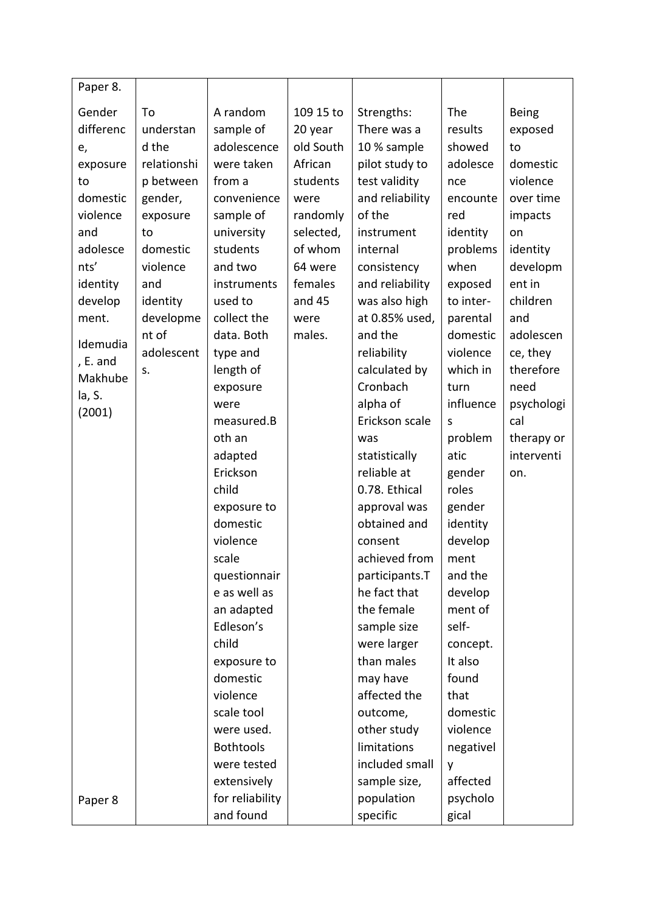| Paper 8.  |                    |                          |                      |                           |           |              |
|-----------|--------------------|--------------------------|----------------------|---------------------------|-----------|--------------|
| Gender    | To                 |                          |                      |                           |           |              |
| differenc |                    | A random                 | 109 15 to            | Strengths:<br>There was a | The       | <b>Being</b> |
|           | understan<br>d the | sample of<br>adolescence | 20 year<br>old South |                           | results   | exposed      |
| e,        |                    |                          |                      | 10 % sample               | showed    | to           |
| exposure  | relationshi        | were taken               | African              | pilot study to            | adolesce  | domestic     |
| to        | p between          | from a                   | students             | test validity             | nce       | violence     |
| domestic  | gender,            | convenience              | were                 | and reliability<br>of the | encounte  | over time    |
| violence  | exposure           | sample of                | randomly             |                           | red       | impacts      |
| and       | to                 | university               | selected,            | instrument                | identity  | on           |
| adolesce  | domestic           | students                 | of whom              | internal                  | problems  | identity     |
| nts'      | violence           | and two                  | 64 were              | consistency               | when      | developm     |
| identity  | and                | instruments              | females              | and reliability           | exposed   | ent in       |
| develop   | identity           | used to                  | and 45               | was also high             | to inter- | children     |
| ment.     | developme          | collect the              | were                 | at 0.85% used,            | parental  | and          |
| Idemudia  | nt of              | data. Both               | males.               | and the                   | domestic  | adolescen    |
| , E. and  | adolescent         | type and                 |                      | reliability               | violence  | ce, they     |
| Makhube   | S.                 | length of                |                      | calculated by             | which in  | therefore    |
| la, S.    |                    | exposure                 |                      | Cronbach                  | turn      | need         |
| (2001)    |                    | were                     |                      | alpha of                  | influence | psychologi   |
|           |                    | measured.B               |                      | Erickson scale            | S         | cal          |
|           |                    | oth an                   |                      | was                       | problem   | therapy or   |
|           |                    | adapted                  |                      | statistically             | atic      | interventi   |
|           |                    | Erickson                 |                      | reliable at               | gender    | on.          |
|           |                    | child                    |                      | 0.78. Ethical             | roles     |              |
|           |                    | exposure to              |                      | approval was              | gender    |              |
|           |                    | domestic                 |                      | obtained and              | identity  |              |
|           |                    | violence                 |                      | consent                   | develop   |              |
|           |                    | scale                    |                      | achieved from             | ment      |              |
|           |                    | questionnair             |                      | participants.T            | and the   |              |
|           |                    | e as well as             |                      | he fact that              | develop   |              |
|           |                    | an adapted               |                      | the female                | ment of   |              |
|           |                    | Edleson's                |                      | sample size               | self-     |              |
|           |                    | child                    |                      | were larger               | concept.  |              |
|           |                    | exposure to              |                      | than males                | It also   |              |
|           |                    | domestic                 |                      | may have                  | found     |              |
|           |                    | violence                 |                      | affected the              | that      |              |
|           |                    | scale tool               |                      | outcome,                  | domestic  |              |
|           |                    | were used.               |                      | other study               | violence  |              |
|           |                    | <b>Bothtools</b>         |                      | limitations               | negativel |              |
|           |                    | were tested              |                      | included small            | y         |              |
|           |                    | extensively              |                      | sample size,              | affected  |              |
| Paper 8   |                    | for reliability          |                      | population                | psycholo  |              |
|           |                    | and found                |                      | specific                  | gical     |              |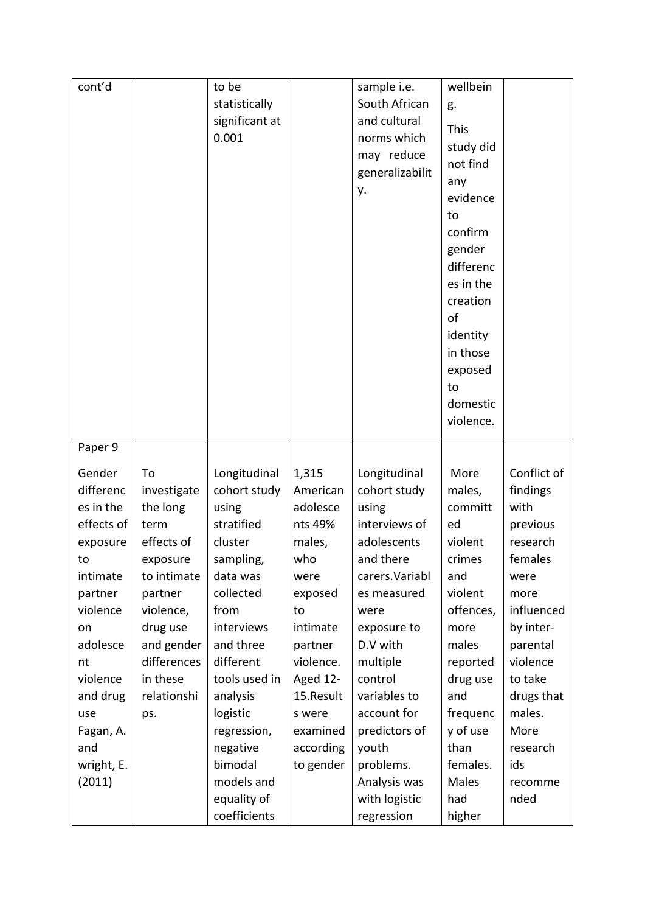| cont'd     |             | to be          |           | sample i.e.     | wellbein    |             |
|------------|-------------|----------------|-----------|-----------------|-------------|-------------|
|            |             | statistically  |           | South African   | g.          |             |
|            |             | significant at |           | and cultural    |             |             |
|            |             | 0.001          |           | norms which     | <b>This</b> |             |
|            |             |                |           | may reduce      | study did   |             |
|            |             |                |           | generalizabilit | not find    |             |
|            |             |                |           | у.              | any         |             |
|            |             |                |           |                 | evidence    |             |
|            |             |                |           |                 | to          |             |
|            |             |                |           |                 | confirm     |             |
|            |             |                |           |                 | gender      |             |
|            |             |                |           |                 | differenc   |             |
|            |             |                |           |                 | es in the   |             |
|            |             |                |           |                 | creation    |             |
|            |             |                |           |                 | of          |             |
|            |             |                |           |                 | identity    |             |
|            |             |                |           |                 | in those    |             |
|            |             |                |           |                 | exposed     |             |
|            |             |                |           |                 | to          |             |
|            |             |                |           |                 | domestic    |             |
|            |             |                |           |                 | violence.   |             |
| Paper 9    |             |                |           |                 |             |             |
|            |             |                |           |                 |             |             |
| Gender     | To          | Longitudinal   | 1,315     | Longitudinal    | More        | Conflict of |
| differenc  | investigate | cohort study   | American  | cohort study    | males,      | findings    |
| es in the  | the long    | using          | adolesce  | using           | committ     | with        |
| effects of | term        | stratified     | nts 49%   | interviews of   | ed          | previous    |
| exposure   | effects of  | cluster        | males,    | adolescents     | violent     | research    |
| to         | exposure    | sampling,      | who       | and there       | crimes      | females     |
| intimate   | to intimate | data was       | were      | carers. Variabl | and         | were        |
| partner    | partner     | collected      | exposed   | es measured     | violent     | more        |
| violence   | violence,   | from           | to        | were            | offences,   | influenced  |
| on         | drug use    | interviews     | intimate  | exposure to     | more        | by inter-   |
| adolesce   | and gender  | and three      | partner   | D.V with        | males       | parental    |
| nt         | differences | different      | violence. | multiple        | reported    | violence    |
| violence   | in these    | tools used in  | Aged 12-  | control         | drug use    | to take     |
| and drug   | relationshi | analysis       | 15.Result | variables to    | and         | drugs that  |
| use        | ps.         | logistic       | s were    | account for     | frequenc    | males.      |
| Fagan, A.  |             | regression,    | examined  | predictors of   | y of use    | More        |
| and        |             | negative       | according | youth           | than        | research    |
| wright, E. |             | bimodal        | to gender | problems.       | females.    | ids         |
| (2011)     |             | models and     |           | Analysis was    | Males       | recomme     |
|            |             | equality of    |           | with logistic   | had         | nded        |
|            |             | coefficients   |           | regression      | higher      |             |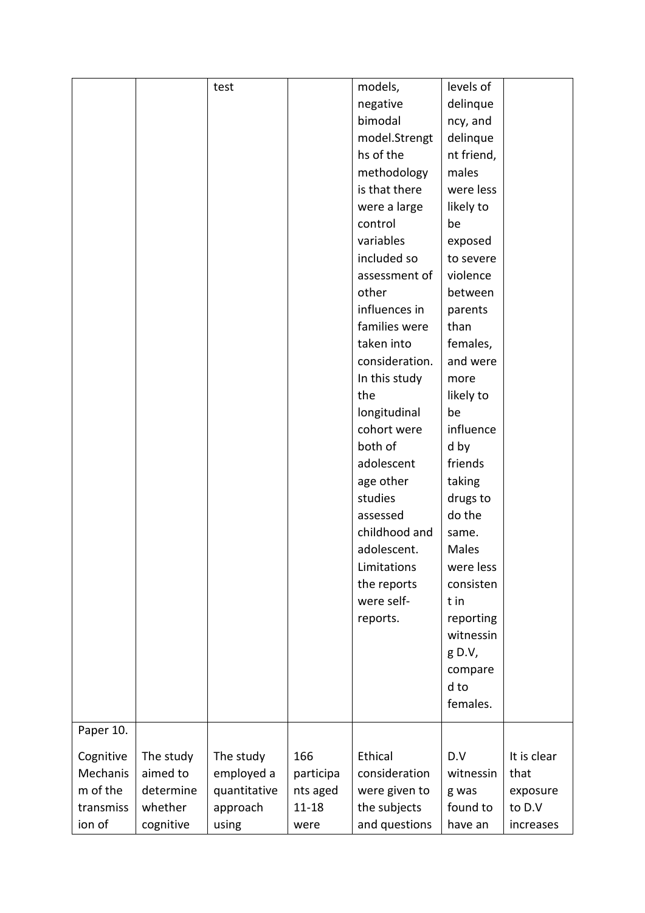|           |           | test         |           | models,        | levels of  |             |
|-----------|-----------|--------------|-----------|----------------|------------|-------------|
|           |           |              |           | negative       | delinque   |             |
|           |           |              |           | bimodal        | ncy, and   |             |
|           |           |              |           | model.Strengt  | delinque   |             |
|           |           |              |           | hs of the      | nt friend, |             |
|           |           |              |           | methodology    | males      |             |
|           |           |              |           | is that there  | were less  |             |
|           |           |              |           | were a large   | likely to  |             |
|           |           |              |           | control        | be         |             |
|           |           |              |           | variables      | exposed    |             |
|           |           |              |           | included so    | to severe  |             |
|           |           |              |           | assessment of  | violence   |             |
|           |           |              |           | other          | between    |             |
|           |           |              |           | influences in  | parents    |             |
|           |           |              |           | families were  | than       |             |
|           |           |              |           | taken into     | females,   |             |
|           |           |              |           | consideration. | and were   |             |
|           |           |              |           | In this study  | more       |             |
|           |           |              |           | the            | likely to  |             |
|           |           |              |           | longitudinal   | be         |             |
|           |           |              |           | cohort were    | influence  |             |
|           |           |              |           | both of        | d by       |             |
|           |           |              |           | adolescent     | friends    |             |
|           |           |              |           | age other      | taking     |             |
|           |           |              |           | studies        | drugs to   |             |
|           |           |              |           | assessed       | do the     |             |
|           |           |              |           | childhood and  | same.      |             |
|           |           |              |           | adolescent.    | Males      |             |
|           |           |              |           | Limitations    | were less  |             |
|           |           |              |           | the reports    | consisten  |             |
|           |           |              |           | were self-     | t in       |             |
|           |           |              |           | reports.       | reporting  |             |
|           |           |              |           |                | witnessin  |             |
|           |           |              |           |                | $g$ D.V,   |             |
|           |           |              |           |                | compare    |             |
|           |           |              |           |                | d to       |             |
|           |           |              |           |                | females.   |             |
|           |           |              |           |                |            |             |
| Paper 10. |           |              |           |                |            |             |
| Cognitive | The study | The study    | 166       | Ethical        | D.V        | It is clear |
| Mechanis  | aimed to  | employed a   | participa | consideration  | witnessin  | that        |
| m of the  | determine | quantitative | nts aged  | were given to  | g was      | exposure    |
| transmiss | whether   | approach     | $11 - 18$ | the subjects   | found to   | to D.V      |
| ion of    | cognitive | using        | were      | and questions  | have an    | increases   |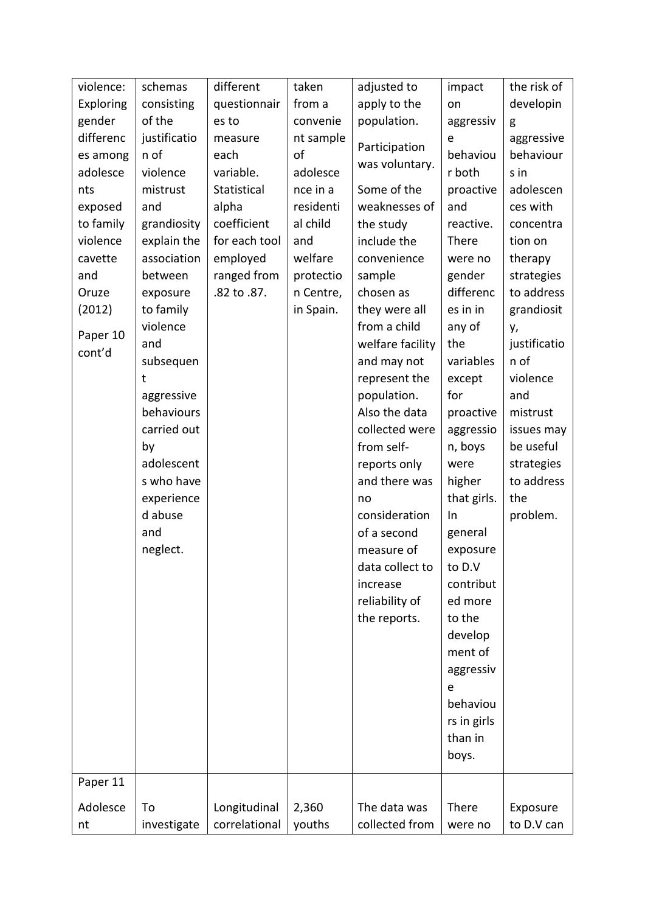| violence:        | schemas      | different     | taken     | adjusted to      | impact      | the risk of  |
|------------------|--------------|---------------|-----------|------------------|-------------|--------------|
| <b>Exploring</b> | consisting   | questionnair  | from a    | apply to the     | on          | developin    |
| gender           | of the       | es to         | convenie  | population.      | aggressiv   | g            |
| differenc        | justificatio | measure       | nt sample |                  | e           | aggressive   |
| es among         | n of         | each          | of        | Participation    | behaviou    | behaviour    |
| adolesce         | violence     | variable.     | adolesce  | was voluntary.   | r both      | s in         |
| nts              | mistrust     | Statistical   | nce in a  | Some of the      | proactive   | adolescen    |
| exposed          | and          | alpha         | residenti | weaknesses of    | and         | ces with     |
| to family        | grandiosity  | coefficient   | al child  | the study        | reactive.   | concentra    |
| violence         | explain the  | for each tool | and       | include the      | There       | tion on      |
| cavette          | association  | employed      | welfare   | convenience      | were no     | therapy      |
| and              | between      | ranged from   | protectio | sample           | gender      | strategies   |
| Oruze            | exposure     | .82 to .87.   | n Centre, | chosen as        | differenc   | to address   |
| (2012)           | to family    |               | in Spain. | they were all    | es in in    | grandiosit   |
|                  | violence     |               |           | from a child     | any of      | у,           |
| Paper 10         | and          |               |           | welfare facility | the         | justificatio |
| cont'd           | subsequen    |               |           | and may not      | variables   | n of         |
|                  | t            |               |           | represent the    | except      | violence     |
|                  | aggressive   |               |           | population.      | for         | and          |
|                  | behaviours   |               |           | Also the data    | proactive   | mistrust     |
|                  | carried out  |               |           | collected were   | aggressio   | issues may   |
|                  | by           |               |           | from self-       | n, boys     | be useful    |
|                  | adolescent   |               |           | reports only     | were        | strategies   |
|                  | s who have   |               |           | and there was    | higher      | to address   |
|                  | experience   |               |           | no               | that girls. | the          |
|                  | d abuse      |               |           | consideration    | In          | problem.     |
|                  | and          |               |           | of a second      | general     |              |
|                  | neglect.     |               |           | measure of       | exposure    |              |
|                  |              |               |           | data collect to  | to D.V      |              |
|                  |              |               |           | increase         | contribut   |              |
|                  |              |               |           | reliability of   | ed more     |              |
|                  |              |               |           | the reports.     | to the      |              |
|                  |              |               |           |                  | develop     |              |
|                  |              |               |           |                  | ment of     |              |
|                  |              |               |           |                  | aggressiv   |              |
|                  |              |               |           |                  | e           |              |
|                  |              |               |           |                  | behaviou    |              |
|                  |              |               |           |                  | rs in girls |              |
|                  |              |               |           |                  | than in     |              |
|                  |              |               |           |                  | boys.       |              |
|                  |              |               |           |                  |             |              |
| Paper 11         |              |               |           |                  |             |              |
| Adolesce         | To           | Longitudinal  | 2,360     | The data was     | There       | Exposure     |
| nt               | investigate  | correlational | youths    | collected from   | were no     | to D.V can   |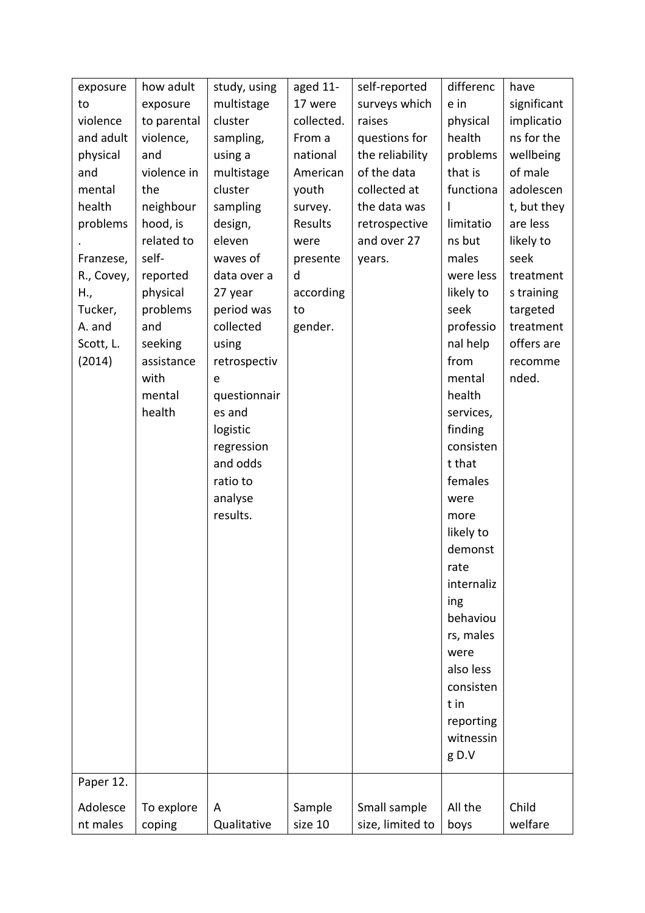| exposure   | how adult   | study, using | aged 11-   | self-reported    | differenc  | have        |
|------------|-------------|--------------|------------|------------------|------------|-------------|
| to         | exposure    | multistage   | 17 were    | surveys which    | e in       | significant |
| violence   | to parental | cluster      | collected. | raises           | physical   | implicatio  |
| and adult  | violence,   | sampling,    | From a     | questions for    | health     | ns for the  |
| physical   | and         | using a      | national   | the reliability  | problems   | wellbeing   |
| and        | violence in | multistage   | American   | of the data      | that is    | of male     |
| mental     | the         | cluster      | youth      | collected at     | functiona  | adolescen   |
| health     | neighbour   | sampling     | survey.    | the data was     |            | t, but they |
| problems   | hood, is    | design,      | Results    | retrospective    | limitatio  | are less    |
|            | related to  | eleven       | were       | and over 27      | ns but     | likely to   |
| Franzese,  | self-       | waves of     | presente   | years.           | males      | seek        |
| R., Covey, | reported    | data over a  | d          |                  | were less  | treatment   |
| H.,        | physical    | 27 year      | according  |                  | likely to  | s training  |
| Tucker,    | problems    | period was   | to         |                  | seek       | targeted    |
| A. and     | and         | collected    | gender.    |                  | professio  | treatment   |
| Scott, L.  | seeking     | using        |            |                  | nal help   | offers are  |
| (2014)     | assistance  | retrospectiv |            |                  | from       | recomme     |
|            | with        | e            |            |                  | mental     | nded.       |
|            | mental      | questionnair |            |                  | health     |             |
|            | health      | es and       |            |                  | services,  |             |
|            |             | logistic     |            |                  | finding    |             |
|            |             | regression   |            |                  | consisten  |             |
|            |             | and odds     |            |                  | t that     |             |
|            |             | ratio to     |            |                  | females    |             |
|            |             | analyse      |            |                  | were       |             |
|            |             | results.     |            |                  | more       |             |
|            |             |              |            |                  | likely to  |             |
|            |             |              |            |                  | demonst    |             |
|            |             |              |            |                  | rate       |             |
|            |             |              |            |                  | internaliz |             |
|            |             |              |            |                  | ing        |             |
|            |             |              |            |                  | behaviou   |             |
|            |             |              |            |                  | rs, males  |             |
|            |             |              |            |                  | were       |             |
|            |             |              |            |                  | also less  |             |
|            |             |              |            |                  | consisten  |             |
|            |             |              |            |                  | t in       |             |
|            |             |              |            |                  | reporting  |             |
|            |             |              |            |                  | witnessin  |             |
|            |             |              |            |                  | $g$ D.V    |             |
| Paper 12.  |             |              |            |                  |            |             |
| Adolesce   | To explore  | A            | Sample     | Small sample     | All the    | Child       |
| nt males   | coping      | Qualitative  | size 10    | size, limited to | boys       | welfare     |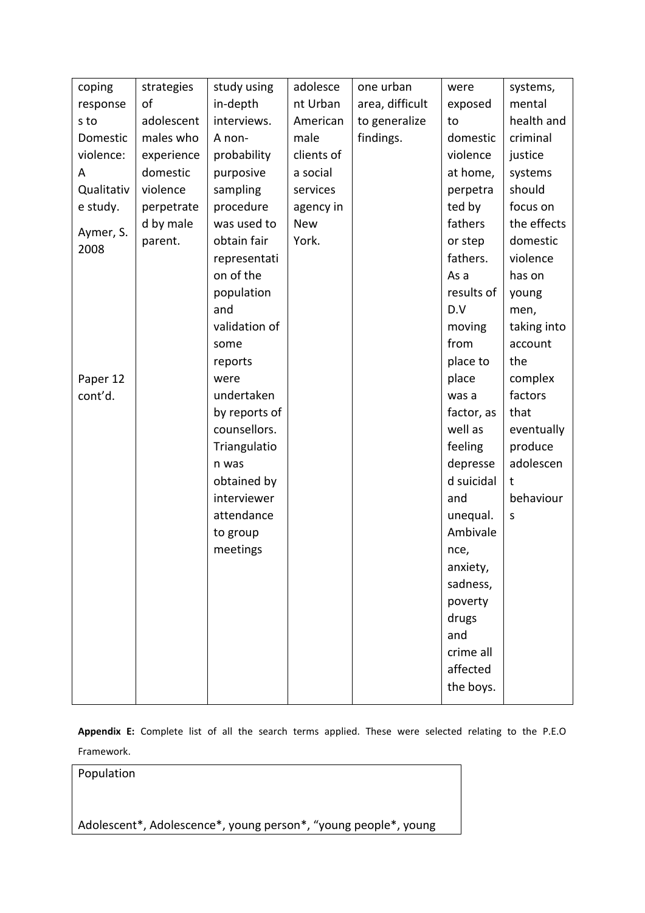| coping            | strategies | study using   | adolesce   | one urban       | were       | systems,    |
|-------------------|------------|---------------|------------|-----------------|------------|-------------|
| response          | of         | in-depth      | nt Urban   | area, difficult | exposed    | mental      |
| s to              | adolescent | interviews.   | American   | to generalize   | to         | health and  |
| Domestic          | males who  | A non-        | male       | findings.       | domestic   | criminal    |
| violence:         | experience | probability   | clients of |                 | violence   | justice     |
| A                 | domestic   | purposive     | a social   |                 | at home,   | systems     |
| Qualitativ        | violence   | sampling      | services   |                 | perpetra   | should      |
| e study.          | perpetrate | procedure     | agency in  |                 | ted by     | focus on    |
|                   | d by male  | was used to   | <b>New</b> |                 | fathers    | the effects |
| Aymer, S.<br>2008 | parent.    | obtain fair   | York.      |                 | or step    | domestic    |
|                   |            | representati  |            |                 | fathers.   | violence    |
|                   |            | on of the     |            |                 | As a       | has on      |
|                   |            | population    |            |                 | results of | young       |
|                   |            | and           |            |                 | D.V        | men,        |
|                   |            | validation of |            |                 | moving     | taking into |
|                   |            | some          |            |                 | from       | account     |
|                   |            | reports       |            |                 | place to   | the         |
| Paper 12          |            | were          |            |                 | place      | complex     |
| cont'd.           |            | undertaken    |            |                 | was a      | factors     |
|                   |            | by reports of |            |                 | factor, as | that        |
|                   |            | counsellors.  |            |                 | well as    | eventually  |
|                   |            | Triangulatio  |            |                 | feeling    | produce     |
|                   |            | n was         |            |                 | depresse   | adolescen   |
|                   |            | obtained by   |            |                 | d suicidal | t           |
|                   |            | interviewer   |            |                 | and        | behaviour   |
|                   |            | attendance    |            |                 | unequal.   | S           |
|                   |            | to group      |            |                 | Ambivale   |             |
|                   |            | meetings      |            |                 | nce,       |             |
|                   |            |               |            |                 | anxiety,   |             |
|                   |            |               |            |                 | sadness,   |             |
|                   |            |               |            |                 | poverty    |             |
|                   |            |               |            |                 | drugs      |             |
|                   |            |               |            |                 | and        |             |
|                   |            |               |            |                 | crime all  |             |
|                   |            |               |            |                 | affected   |             |
|                   |            |               |            |                 | the boys.  |             |
|                   |            |               |            |                 |            |             |

**Appendix E:** Complete list of all the search terms applied. These were selected relating to the P.E.O Framework.

Population

Adolescent\*, Adolescence\*, young person\*, "young people\*, young